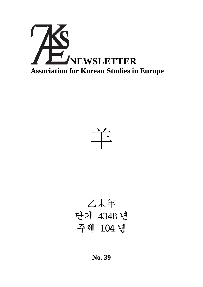



乙未年 단기 4348 년 주체 104 년

**No. 39**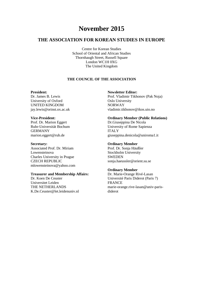# **November 2015**

# **THE ASSOCIATION FOR KOREAN STUDIES IN EUROPE**

Centre for Korean Studies School of Oriental and African Studies Thornhaugh Street, Russell Square London WC1H 0XG The United Kingdom

# **THE COUNCIL OF THE ASSOCIATION**

#### **President:**

Dr. James B. Lewis University of Oxford UNITED KINGDOM jay.lewis@orinst.ox.ac.uk

#### **Vice-President:**

Prof. Dr. Marion Eggert Ruhr-Universität Bochum GERMANY marion.eggert@rub.de

#### **Secretary:**

Associated Prof. Dr. Miriam Lowensteinova Charles University in Prague CZECH REPUBLIC mlowensteinova@yahoo.com

#### **Treasurer and Membership Affairs:**

Dr. Koen De Ceuster Universitet Leiden THE NETHERLANDS K.De.Ceuster@let.leidenuniv.nl

#### **Newsletter Editor:**

Prof. Vladimir Tikhonov (Pak Noja) Oslo University NORWAY vladimir.tikhonov@ikos.uio.no

#### **Ordinary Member (Public Relations)**

Dr.Giuseppina De Nicola University of Rome Sapienza ITALY giuseppina.denicola@uniroma1.it

#### **Ordinary Member**

Prof. Dr. Sonja Häußler Stockholm University **SWEDEN** sonja.haeussler@orient.su.se

#### **Ordinary Member**

Dr. Marie-Orange Rivé-Lasan Université Paris Diderot (Paris 7) FRANCE marie-orange.rive-lasan@univ-parisdiderot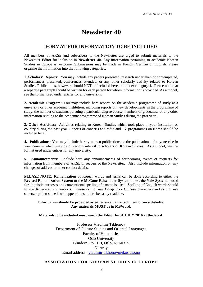# **Newsletter 40**

# **FORMAT FOR INFORMATION TO BE INCLUDED**

All members of AKSE and subscribers to the Newsletter are urged to submit materials to the Newsletter Editor for inclusion in **Newsletter 40.** Any information pertaining to academic Korean Studies in Europe is welcome. Submissions may be made in French, German or English. Please organise the information into the following categories:

**1. Scholars' Reports:** You may include any papers presented, research undertaken or contemplated, performances presented, conferences attended, or any other scholarly activity related to Korean Studies. Publications, however, should NOT be included here, but under category 4. Please note that a separate paragraph should be written for each person for whom information is provided. As a model, see the format used under entries for any university.

**2. Academic Program:** You may include here reports on the academic programme of study at a university or other academic institution, including reports on new developments in the programme of study, the number of students pursuing a particular degree course, numbers of graduates, or any other information relating to the academic programme of Korean Studies during the past year.

**3. Other Activities:** Activities relating to Korean Studies which took place in your institution or country during the past year. Reports of concerts and radio and TV programmes on Korea should be included here.

**4. Publications:** You may include here you own publications or the publications of anyone else in your country which may be of serious interest to scholars of Korean Studies. As a model, see the format used under entries for any university.

**5. Announcements:** Include here any announcements of forthcoming events or requests for information from members of AKSE or readers of the Newsletter. Also include information on any changes of address or other contact details.

**PLEASE NOTE: Romanisation** of Korean words and terms can be done according to either the **Revised Romanization System** or the **McCune-Reischauer System** unless the **Yale System** is used for linguistic purposes or a conventional spelling of a name is used. **Spelling** of English words should follow **American** conventions. Please do not use *Hangeul* or Chinese characters and do not use superscript text since it will appear too small to be easily readable.

#### **Information should be provided as either an email attachment or on a diskette. Any materials MUST be in MSWord.**

#### **Materials to be included must reach the Editor by 31 JULY 2016 at the latest.**

Professor Vladimir Tikhonov Department of Culture Studies and Oriental Languages Faculty of Humanities Oslo University Blindern, Pb1010, Oslo, NO-0315 Norway Email address: vladimir.tikhonov@ikos.uio.no

# **ASSOCIATION FOR KOREAN STUDIES IN EUROPE**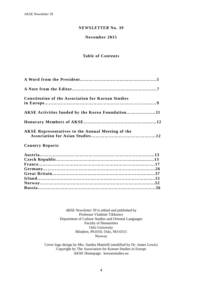# *NEWSLETTER* **No. 39**

# **November 2015**

# **Table of Contents**

| <b>Constitution of the Association for Korean Studies</b> |  |
|-----------------------------------------------------------|--|
| AKSE Activities funded by the Korea Foundation11          |  |
|                                                           |  |
| <b>AKSE Representatives to the Annual Meeting of the</b>  |  |
| <b>Country Reports</b>                                    |  |

*AKSE Newsletter 39* is edited and published by Professor Vladimir Tikhonov Department of Culture Studies and Oriental Languages Faculty of Humanities Oslo University Blindern, Pb1010, Oslo, NO-0315 Norway

Cover logo design by Mrs. Sandra Mattielli (modified by Dr. James Lewis) Copyright by The Association for Korean Studies in Europe AKSE Homepage: koreanstudies.eu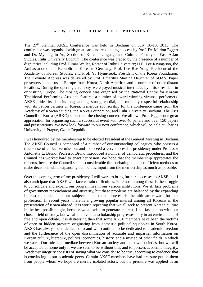# **A W O R D F R O M T H E PRESIDENT**

The  $27<sup>th</sup>$  biennial AKSE Conference was held in Bochum on July 10-13, 2015. The conference was organised with great care and resounding success by Prof. Dr. Marion Eggert and Dr. Myoung In Yu, Section of Korean Language and Culture, Faculty of East Asian Studies, Ruhr University Bochum. The conference was graced by the presence of a number of dignitaries including Prof. Elmar Weiler, Rector of Ruhr University; H.E. Lee Kyung-soo, the Ambassador of the Republic of Korea to Germany; Prof. Lee Bae Yong, President of the Academy of Korean Studies; and Prof. Yu Hyun-seok, President of the Korea Foundation. The Keynote Address was delivered by Prof. Emeritus Martina Deuchler of SOAS. Paper presenters joined us in Europe from Korea, North America, and a number of other distant locations. During the opening ceremony, we enjoyed musical interludes by artists resident in or visiting Europe. The closing concert was organised by the National Centre for Korean Traditional Performing Arts and featured a number of award-winning virtuoso performers. AKSE prides itself in its longstanding, strong, cordial, and mutually respectful relationship with its patron partners in Korea. Generous sponsorship for the conference came from the Academy of Korean Studies, the Korea Foundation, and Ruhr University Bochum. The Arts Council of Korea (ARKO) sponsored the closing concert. We all owe Prof. Eggert our great appreciation for organising such a successful event with over 40 panels and over 150 papers and presentations. We now look forward to our next conference, which will be held at Charles University in Prague, Czech Republic.

I was honoured by the membership to be elected President at the General Meeting in Bochum. The AKSE Council is composed of a number of our outstanding colleagues, who possess a true sense of collective mission, and I succeed a very successful presidency under Professor Antonetta L. Bruno. Professor Bruno introduced a number of democratic procedures, and the Council has worked hard to enact her vision. We hope that the membership appreciates the reforms, because the Council spends considerable time debating the most efficient methods to make decisions while expanding democratic input from the membership as much as possible.

Over the coming term of my presidency, I will work to bring further successes to AKSE, but I also anticipate that AKSE will face certain difficulties. Foremost among these is the struggle to consolidate and expand our programmes in our various institutions. We all face problems of government retrenchment and austerity, but these problems are balanced by the expanding interest of students in our subjects, and student interest is the ultimate reward for our profession. In recent years, there is a growing popular interest among all Koreans in the presentation of Korea abroad. It is worth repeating that we all seek to present Korean culture in the best possible light, because we all wish to generate interest if not fascination with our chosen field of study, but we all believe that scholarship progresses only in an environment of free and open debate. It is distressing then that some AKSE members have been the victims of open or hidden pressure originating from domestic political squabbles in South Korea. AKSE has always been dedicated to and will continue to be dedicated to academic freedom and the furtherance of the open dissemination of accurate and impartial information on Korean culture, literature, politics, economics, history, and a myriad of other fields in which we work. Our role is to mediate between Korean society and our own societies, but we will be accepted at home only if we are seen to be without bias and to possess academic integrity. Academic integrity consists of saying what we consider to be true, according to evidence that is convincing to our academic peers. Certain AKSE members have had pressure put on them from people whom we hope are merely isolated actors, but the pressure was applied in an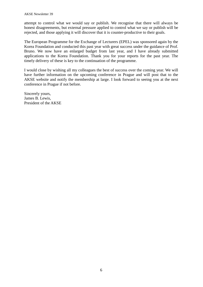attempt to control what we would say or publish. We recognise that there will always be honest disagreements, but external pressure applied to control what we say or publish will be rejected, and those applying it will discover that it is counter-productive to their goals.

The European Programme for the Exchange of Lecturers (EPEL) was sponsored again by the Korea Foundation and conducted this past year with great success under the guidance of Prof. Bruno. We now have an enlarged budget from last year, and I have already submitted applications to the Korea Foundation. Thank you for your reports for the past year. The timely delivery of these is key to the continuation of the programme.

I would close by wishing all my colleagues the best of success over the coming year. We will have further information on the upcoming conference in Prague and will post that to the AKSE website and notify the membership at large. I look forward to seeing you at the next conference in Prague if not before.

Sincerely yours, James B. Lewis, President of the AKSE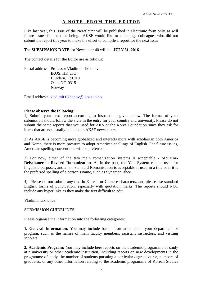# **A N O T E F R O M T H E E D I T O R**

Like last year, this issue of the Newsletter will be published in electronic form only, as will future issues for the time being. AKSE would like to encourage colleagues who did not submit the report this year to make the effort to compile a report for the next issue.

# The **SUBMISSION DATE** for Newsletter 40 will be **JULY 31, 2016**.

The contact details for the Editor are as follows:

Postal address: Professor Vladimir Tikhonov IKOS, HF, UiO Blindern, Pb1010 Oslo, NO-0315 Norway

Email address: vladimir.tikhonov@ikos.uio.no

#### **Please observe the following:**

1) Submit your next report according to instructions given below. The format of your submission should follow the style in the entry for your country and university. Please do not submit the same reports that you used for AKS or the Korea Foundation since they ask for items that are not usually included in AKSE newsletters.

2) As AKSE is becoming more globalized and interacts more with scholars in both America and Korea, there is more pressure to adopt American spellings of English. For future issues, American spelling conventions will be preferred.

3) For now, either of the two main romanization systems is acceptable - **McCune-Reischauer** or **Revised Romanization**. As in the past, the Yale System can be used for linguistic purposes, and a non-standard Romanisation is acceptable if used in a title or if it is the preferred spelling of a person's name, such as Syngman Rhee.

4) Please do not submit any text in Korean or Chinese characters, and please use standard English forms of punctuation, especially with quotation marks. The reports should NOT include any hyperlinks as they make the text difficult to edit.

Vladimir Tikhonov

#### SUBMISSION GUIDELINES:

Please organise the information into the following categories:

**1. General Information**: You may include basic information about your department or program, such as the names of main faculty members, assistant instructors, and visiting scholars.

**2. Academic Program:** You may include here reports on the academic programme of study at a university or other academic institution, including reports on new developments in the programme of study, the number of students pursuing a particular degree course, numbers of graduates, or any other information relating to the academic programme of Korean Studies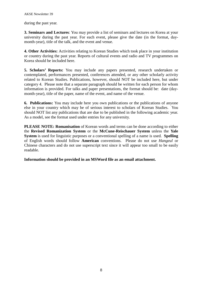during the past year.

**3. Seminars and Lectures**: You may provide a list of seminars and lectures on Korea at your university during the past year. For each event, please give the date (in the format, daymonth-year), title of the talk, and the event and venue.

**4. Other Activities:** Activities relating to Korean Studies which took place in your institution or country during the past year. Reports of cultural events and radio and TV programmes on Korea should be included here.

**5. Scholars' Reports:** You may include any papers presented, research undertaken or contemplated, performances presented, conferences attended, or any other scholarly activity related to Korean Studies. Publications, however, should NOT be included here, but under category 4. Please note that a separate paragraph should be written for each person for whom information is provided. For talks and paper presentations, the format should be: date (daymonth-year), title of the paper, name of the event, and name of the venue.

**6. Publications:** You may include here you own publications or the publications of anyone else in your country which may be of serious interest to scholars of Korean Studies. You should NOT list any publications that are due to be published in the following academic year. As a model, see the format used under entries for any university.

**PLEASE NOTE: Romanisation** of Korean words and terms can be done according to either the **Revised Romanization System** or the **McCune-Reischauer System** unless the **Yale System** is used for linguistic purposes or a conventional spelling of a name is used. **Spelling** of English words should follow **American** conventions. Please do not use *Hangeul* or Chinese characters and do not use superscript text since it will appear too small to be easily readable.

**Information should be provided in an MSWord file as an email attachment.**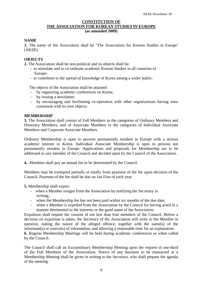# **CONSTITUTION OF THE ASSOCIATION FOR KOREAN STUDIES IN EUROPE (as amended 2009)**

# **NAME**

**1.** The name of the Association shall be 'The Association for Korean Studies in Europe' (AKSE).

# **OBJECTS**

**2.** The Association shall be non-political and its objects shall be:

- to stimulate and to co-ordinate academic Korean Studies in all countries of Europe;
- to contribute to the spread of knowledge of Korea among a wider public.

The objects of the Association shall be attained:

- by organizing academic conferences on Korea;
- by issuing a newsletter;
- by encouraging and facilitating co-operation with other organizations having aims consistent with its own objects.

### **MEMBERSHIP**

**3.** The Association shall consist of Full Members in the categories of Ordinary Members and Honorary Members, and of Associate Members in the categories of Individual Associate Members and Corporate Associate Members.

Ordinary Membership is open to persons permanently resident in Europe with a serious academic interest in Korea. Individual Associate Membership is open to persons not permanently resident in Europe. Applications and proposals for Membership are to be addressed to any member of the Council and decided upon by the Council of the Association.

**4.** Members shall pay an annual fee to be determined by the Council.

Members may be exempted partially or totally from payment of the fee upon decision of the Council. Payment of the fee shall be due on Jan First of each year.

**5.** Membership shall expire:

- when a Member resigns from the Association by notifying the Secretary in writing;
- when the Membership fee has not been paid within six months of the due date;
- when a Member is expelled from the Association by the Council for having acted in a manner detrimental to the interests or the good name of the Association.

Expulsion shall require the consent of not less than four members of the Council. Before a decision on expulsion is taken, the Secretary of the Association will write to the Member in question, stating the nature of the alleged offence, together with the name(s) of the informant(s) or source(s) of information, and allowing a reasonable time for an explanation. **6.** Regular Membership Meetings will be held during academic conferences or when called

by the Council. The Council shall call an Extraordinary Membership Meeting upon the request of one-third

of the Full Members of the Association. Notice of any business to be transacted at a Membership Meeting shall be given in writing to the Secretary, who shall prepare the agenda of the meeting.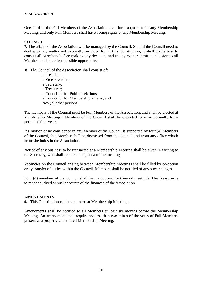One-third of the Full Members of the Association shall form a quorum for any Membership Meeting, and only Full Members shall have voting rights at any Membership Meeting.

# **COUNCIL**

**7.** The affairs of the Association will be managed by the Council. Should the Council need to deal with any matter not explicitly provided for in this Constitution, it shall do its best to consult all Members before making any decision, and in any event submit its decision to all Members at the earliest possible opportunity.

**8.** The Council of the Association shall consist of:

a President; a Vice-President; a Secretary; a Treasurer; a Councillor for Public Relations; a Councillor for Membership Affairs; and two (2) other persons.

The members of the Council must be Full Members of the Association, and shall be elected at Membership Meetings. Members of the Council shall be expected to serve normally for a period of four years.

If a motion of no confidence in any Member of the Council is supported by four (4) Members of the Council, that Member shall be dismissed from the Council and from any office which he or she holds in the Association.

Notice of any business to be transacted at a Membership Meeting shall be given in writing to the Secretary, who shall prepare the agenda of the meeting.

Vacancies on the Council arising between Membership Meetings shall be filled by co-option or by transfer of duties within the Council. Members shall be notified of any such changes.

Four (4) members of the Council shall form a quorum for Council meetings. The Treasurer is to render audited annual accounts of the finances of the Association.

### **AMENDMENTS**

**9.** This Constitution can be amended at Membership Meetings.

Amendments shall be notified to all Members at least six months before the Membership Meeting. An amendment shall require not less than two-thirds of the votes of Full Members present at a properly constituted Membership Meeting.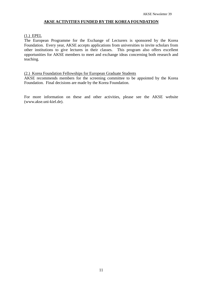# **AKSE ACTIVITIES FUNDED BY THE KOREA FOUNDATION**

# (1.) EPEL

The European Programme for the Exchange of Lecturers is sponsored by the Korea Foundation. Every year, AKSE accepts applications from universities to invite scholars from other institutions to give lectures in their classes. This program also offers excellent opportunities for AKSE members to meet and exchange ideas concerning both research and teaching.

#### (2.) Korea Foundation Fellowships for European Graduate Students

AKSE recommends members for the screening committee to be appointed by the Korea Foundation. Final decisions are made by the Korea Foundation.

For more information on these and other activities, please see the AKSE website (www.akse.uni-kiel.de).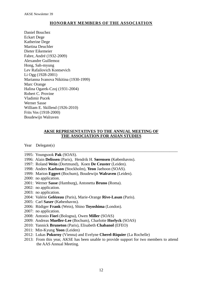# **HONORARY MEMBERS OF THE ASSOCIATION**

Daniel Bouchez Eckart Dege Katherine Dege Martina Deuchler Dieter Eikemeier Fabre, André (1932-2009) Alexandre Guillemoz Hong, Sah-myung Lev Rafailovich Kontsevich Li Ogg (1928-2001) Marianna Ivanova Nikitina (1930-1999) Marc Orange Halina Ogarek-Czoj (1931-2004) Robert C. Provine Vladimir Pucek Werner Sasse William E. Skillend (1926-2010) Frits Vos (1918-2000) Boudewijn Walraven

# **AKSE REPRESENTATIVES TO THE ANNUAL MEETING OF THE ASSOCIATION FOR ASIAN STUDIES**

\_\_\_\_\_\_\_\_\_\_\_\_\_\_\_\_\_\_\_\_\_\_\_\_\_\_\_\_\_\_\_\_\_\_\_\_\_\_\_\_\_\_\_\_\_\_\_\_\_\_\_\_\_\_\_\_\_\_\_\_\_\_\_\_\_\_\_\_\_\_\_\_\_\_\_

Year Delegate(s)

- 1995: Youngsook **Pak** (SOAS).
- 1996: Alain **Delissen** (Paris), Hendrik H. **Sørensen** (Københavns).
- 1997: Roland **Wein** (Dortmund), Koen **De Ceuster** (Leiden).
- 1998: Anders **Karlsson** (Stockholm), **Yeon** Jaehoon (SOAS).
- 1999: Marion **Eggert** (Bochum), Boudewijn **Walraven** (Leiden).
- 2000: no application.
- 2001: Werner **Sasse** (Hamburg), Antonetta **Bruno** (Roma).
- 2002: no application.
- 2003: no application.
- 2004: Valérie **Gelézeau** (Paris), Marie-Orange **Rive-Lasan** (Paris).
- 2005: Carl **Saxer** (Københavns).
- 2006: Rüdiger **Frank** (Wein), Shino **Toyoshima** (London).
- 2007: no application.
- 2008: Antonio **Fiori** (Bologna), Owen **Miller** (SOAS)
- 2009: Andreas **Mueller-Lee** (Bochum), Charlotte **Horlyck** (SOAS)
- 2010: Yannick **Bruneton** (Paris), Elisabeth **Chabanol** (EFEO)
- 2011: Min-Kyung **Yoon** (Leiden)
- 2012: Lukas **Pokorny** (Vienna) and Evelyne **Cherel-Riquier** (La Rochelle)
- 2013: From this year, AKSE has been unable to provide support for two members to attend the AAS Annual Meeting.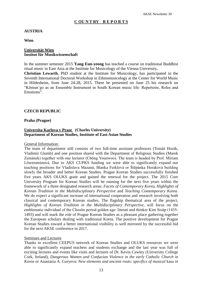# **C OU N T RY R E P O R T S**

# **AUSTRIA**

**Wien**

# **Universität Wien Institut für Musikwissenschaft**

In the summer semester 2015 **Yang Eun-yeong** has teached a course on traditional Buddhist ritual music in East Asia at the Institute for Musicology of the Vienna University**.**

**Christian Lewarth**, PhD student at the Institute for Musicology, has participated in the Seventh International Doctoral Workshop in Ethnomusicology at the Center for World Music in Hildesheim, from June 24-28, 2015. There he presented on June 25 his research on "Kŏmun'go as an Ensemble Instrument in South Korean music life: Repertoire, Roles and Emotions".

# **CZECH REPUBLIC**

#### **Praha (Prague)**

# **Univerzita Karlova v Praze (Charles University) Department of Korean Studies, Institute of East Asian Studies**

#### General Information:

The team of department still consists of two full-time assistant professors (Tomáš Horák, Vladimír Glomb) and one position shared with the Department of Religious Studies (Marek Zemánek) together with one lecturer (Chŏng Younwoo). The team is headed by Prof. Miriam Löwensteinová. Due to AKS CUPKS funding we were able to significantly expand our teaching positions for Vladislava Mazaná, Blanka Ferklová or Štěpánka Horáková building slowly the broader and better Korean Studies. Prague Korean Studies successfully finished five years AKS OLUKS grant and gained the renewal for the project. The 2015 Core University Program for Korean Studies will be running for the next five years within the framework of a three designated research areas: *Facets of Contemporary Korea*, *Highlights of Korean Tradition in the Multidisciplinary Perspective* and *Teaching Contemporary Korea*. We do expect a significant increase of international cooperation and research involving both classical and contemporary Korean studies. The flagship thematical area of the project, *Highlights of Korean Tradition in the Multidisciplinary Perspective,* will focus on the emblematic individual of the Chosŏn period golden age: literati and thinker Kim Sisŭp (1435- 1493) and will mark the role of Prague Korean Studies as a pleasant place gathering together the European scholars dealing with traditional Korea. The positive development for Prague Korean Studies toward a better international visibility is well mirrored by the successful bid for the next AKSE conference in 2017.

### Seminars and Lectures

Thanks to excellent CEEPUS network of Korean Studies and OLUKS resources we were able to significantly expand teachers and students exchange and the last year was full of exciting lectures and events like visits and lectures of Dr. Kevin Cawley (University College Cork, Ireland), *Dangerous Women and Confucian Violence in the early Catholic Church in Korea* or Anastasia A. Guryeva: *New elements and ancient roots: specifics of musical* kasa *in*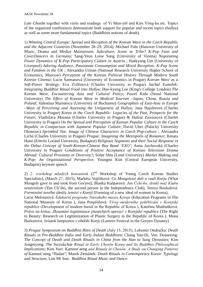*Late Chosŏn* together with visits and readings of Yi Mun-yŏl and Kim Yŏng-ha etc. Topics of the organized conferences demonstrate both support for popular and recent topics (*hallyu*) as well as some more fundamental topics (Buddhists notions of death).

1) *Winning Central Europe: Spread and Reception of the Korean Wave in the Czech Republic and the Adjacent Countries* (November 28–29, 2014); Michael Fuhr (Hanover University of Music, Drama and Media) *Mainstream, Subculture, Scene or Tribe? K-Pop Fans and CoverDancers in Germany*; Sang-Yeon Loise Sung (University of Vienna) *Negotiating Power Dynamics of K-Pop Participatory Culture in Austria* ; Haekyung Um (University of Liverpool) *Adoring Audience, Passionate Consumption and Mixed Reception: K-Pop Scene and Fandom in the UK* ; Alexandra Urman (National Research University Higher School of Economics, Moscow) *Perception of the Korean Political History Through Modern South Korean Cinema*; Lucie Šarmanová (University of Economics in Prague) *Korean Wave as a Soft-Power Strategy*; Eva Zvěřinová (Charles University in Prague) *Sachal Eumshik: Integrating Buddhist Ritual Food into Hallyu*; Hye-kyung Lee (King's College London) *The Korean Wave, Encountering Asia and Cultural Policy*; Pawel Kida (Seoul National University) *The Effect of Korean Wave in Medical Tourism –Japan, China, Russia and Poland*; Valentina Marinescu (University of Bucharest) *Geographies of East-Asia in Europe –Ways of Perceiving and Assessing the Uniqueness of Hallyu*; Jana Hajzlerová (Charles University in Prague) *Korea in the Czech Republic: Legacies of the Past, Prospects for the Future*; Vladislava Mazaná (Charles University in Prague) & Halina Zawiszová (Charles University in Prague) *On the Spread and Perception of Korean Popular Culture in the Czech Republic in Comparison with Japanese Popular Culture*; David Uher (Palacký University Olomouc) *Sprinkled Tea: Image of Chinese Characters in Czech Pop-culture* ; Alexandra Lichá (Charles University in Prague) *Prague: Imagining the Metropolis of Romance*; Renata Hanó (Eötvös Loránd University, Budapest) *Religious Segments and their Social Response in the Debut Concept of South-Korean-Chinese Boy Band 'EXO'*; Anna Jarchovská (Charles University in Prague) *Conditions of Positive Acceptance of Korean Television Drama Abroad: Cultural Proximity or Diversity?*; Solee Shin (Lund University) *Market Making and K-Pop: An Organizational Perspective*; Youngmi Kim (Central European University, Budapest) keynote speech

2) *2. workshop mladých koreanistů* (2nd Workshop of Young Czech Korean Studies Specialists), (March 27, 2015), Markéta Vojtíšková: *Co Mongolové dali a vzali Korju* (What Mongols gave to and took from Goryeo), Blanka Kašparová: *Jun Čchi-ho, druhý muž Klubu nezávislosti* (Yun Ch'iho, the second person in the Independence Club), Tereza Boukalová: *Formování nového ideálu ženství v Koreji* (Forming of a new ideal of women in Korea), Lucie Melounová: *Edukační programy Národního muzea Koreje* (Education Programs in The National Museum of Korea ), Jana Pospíšilová: *Vývoj moderního pohřbívání v Korejské republice* (Development of modern burial in the Republic of Korea ), Kateřina Mudruňková: *Právo na krásu: Zkoumání legitimizace plastických operací v Korejské republice* (The Right to Beauty: Research on Legitimization of Plastic Surgery in the Republic of Korea ), Mona Burkušová: *Sviatok lampionov v období Korjo* (Lantern Festival in the Goryeo Dynasty)

3) *Prague Symposium on Buddhist Rites of Death* (July 15, 2015), Lubomír Ondračka: *Death Rituals in Pre-Buddhist India and Early Indian Buddhism*; Chang Yan-Di, Ven. Doaseeing: *The Concept of Death and Death Rituals in China from the Han to Sung Dynasties*; Kim Jongmyung: *The S*uryukchae *Ritual in Early Chosŏn Korea and Its Buddhist Philosophical Implications*; Kim Yuri: Kamnot'aeng *and Rituals in Chosŏn: A Study on Changing Patterns of* Kamnot'aeng "Hadan"; Marek Zemánek: *Death Rituals in Contemporary Korea: Typology and Structure*; Lim Mi Sun: *Buddhist Ritual Music and Dance.*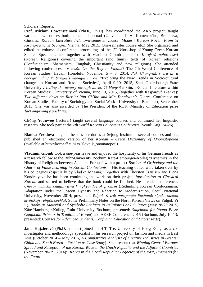# Scholars' Reports:

**Prof. Miriam Löwensteinová** (PhDr., Ph.D) has coordinated the AKS project, taught various new courses both home and abroad (Universita J. A. Komenského, Bratislava, *Classical Korean Literature I-II,* Two-semester course, *Modern Korean Novel: From Yi Kwang-su to Yi Seung-u*. Vienna, May 2015. One-semester course etc.) She organized and edited the volume of conference proceedings of the  $2<sup>nd</sup>$  Workshop of Young Czech Korean Studies Specialists and together with Vladimir Glomb published *Korejská náboženství* (Korean Religions) covering the important (and funny) texts of Korean religions (Confucianism, Shamanism, Tonghak, Christianity and new religions). She attended following conferences: *P´aesŏl: On the Way to Fiction*? The 7th World Conference of Korean Studies, Havaii, Honolulu, November 5 – 8, 2014, *Pak Chŏng-hǔi´s era as a background of Yi Sǔng-u´s Saengǔi imyŏn*. "Exploring the New Trends in Socio-cultural changes in Korean and Russian Societies", April 9-10, 2015, Sankt-Petersbourgh State University , *Telling the history through novel. Yi Munyŏl´s* Siin. "Korean Literature within Korean Studies". University of Vienna, June 13, 2015, (together with Kašparová Blanka): *Two different views on Russia: Yun Ch´iho and Min Yonghwan´s Diares*. Conference on Korean Studies, Faculty of Sociology and Social Work - University of Bucharest, September 2015. She was also awarded by The President of the ROK, Ministry of Education prize *Taet'ongnyŏng p'yoch'ang*.

**Chŏng Younwoo** (lecturer) taught several language courses and continued her linguistic research. She took part at the *7th World Korean Educators Conference* (Seoul: Aug. 24-26).

**Blanka Ferklová** taught – besides her duties at Sejong Institute – several courses and has published an electronic version of her *Korean – Czech Dictionary of Onomatopoiea* (available at http://korea.ff.cuni.cz/slovnik\_onomatopoii)*.*

**Vladimir Glomb** took a one-year leave and enjoyed the hospitality of his German friends as a research fellow at the Ruhr-University Bochum Käte-Hamburger-Kolleg "Dynamics in the History of Religions between Asia and Europe" with a project *Borders of Orthodoxy and the Charm of False Learning in Korean Confucianism*. His teaching duties were taken over by his colleagues (especially by Vlaďka Mazaná). Together with Thorsten Traulsen and Elena Kondratyeva he has been continuing the work on their project *Introduction to Classical Korean* and started to believe that the book could be finished. He attended conferences *Chosŏn yuhakŭi chagihwawa kŭnghyŏndaejŏk pyŏnsin* (Rethinking Korean Confucianism: Adaptation under the Joseon Dynasty and Reaction to Modernization, Seoul National University, November 2014; presented: *Yulgok Yi Irŭl paraponŭn Pukhanŭi sigake taehan myŏtkkaji yebijŏk koch'al*: Some Preliminary Notes on the North Korean Views on Yulgok Yi I ), *Books as Material and Symbolic Artifacts in Religious Book Cultures* (May 28-29 2015, Käte-Hamburger-Kolleg, Ruhr University Bochum; presented: *Sagehood for Young Boys: Confucian Primers in Traditional Korea*) and AKSE Conference 2015 (Bochum, July 10-13; presented: *Courses for Advanced Students: Confucian Education and Daoist Texts*).

**Jana Hajzlerová** (Ph.D. student) joined dr. H.T. Tse, University of Hong Kong, as a coinvestigator and methodology specialist in his research project on fashion and media in East Asia (October 2014 – May 2015, *A Comparative Analysis of Creative Industries in Greater China and South Korea – Fashion as Case Study*). She presented at *Winning Central Europe: Spread and Reception of the Korean Wave in the Czech Republic and the Adjacent Countries* (November 28–29, 2014): *Korea in the Czech Republic: Legacies of the Past, Prospects for the Future*.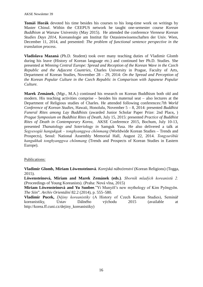**Tomáš Horák** devoted his time besides his courses to his long-time work on writings by Master Chinul. Within the CEEPUS network he taught one-semester course *Korean Buddhism* at Warsaw University (May 2015). He attended the conference *Viennese Korean Studies Days 2014*, Koreanologie am Institut für Ostasienwissenschaften der Univ. Wien, December 11, 2014, and presented: *The problem of functional sentence perspective in the translation process*.

**Vladislava Mazaná** (Ph.D. Student) took over many teaching duties of Vladimir Glomb during his leave (History of Korean language etc.) and continued her Ph.D. Studies. She presented at *Winning Central Europe: Spread and Reception of the Korean Wave in the Czech Republic and the Adjacent Countries,* Charles University in Prague, Faculty of Arts, Department of Korean Studies, November 28 – 29, 2014: *On the Spread and Perception of the Korean Popular Culture in the Czech Republic in Comparison with Japanese Popular Culture.*

**Marek Zemánek**, (Mgr., M.A.) continued his research on Korean Buddhism both old and modern. His teaching activities comprise – besides his maternal seat – also lectures at the Department of Religious studies of Charles. He attended following conferences:*7th World Conference of Korean Studies*, Hawaii, Honolulu, November 5 – 8, 2014: presented *Buddhist Funeral Rites among Lay Buddhists* (awarded Junior Scholar Paper Prize: 2nd Place**,** ) *Prague Symposium on Buddhist Rites of Death*, July 15, 2015: presented *Practice of Buddhist Rites of Death in Contemporary Korea,* AKSE Conference 2015, Bochum, July 10-13, presented *Thanatology and Soteriology in* Samguk Yusa. He also delivered a talk at *Segyesogŭi hangukgak – tonghyanggwa chŏnmang* (Worldwide Korean Studies – Trends and Prospects), Seoul: National Assembly Memorial Hall, August 22, 2014. *Tongyurŏbŭi hangukhak tonghyanggwa chŏnmang* (Trends and Prospects of Korean Studies in Eastern Europe).

# Publications:

**Vladimír Glomb, Miriam Löwensteinová**. *Korejská náboženství* (Korean Religions) (Togga, 2015).

**Löwensteinová, Miriam and Marek Zemánek (eds.)**. *Sborník mladých koreanistů 2.* (Proceedings of Young Koreanists). (Praha: Nová vlna, 2015)

**Miriam Löwensteinová and Yu Sunbee***.*"Yi Munyǒl's new mythology of Kim Pyǒngyǒn. *The Siin*". *Archiv Orientální* 82.2 (2014), p. 555–580.

**Vladimír Pucek,** *Dějiny koreanistiky* (A History of Czech Korean Studies), Seminář koreanistiky, Ústav Dálného východu 2015 (available at http://korea.ff.cuni.cz/dejiny\_koreanistiky)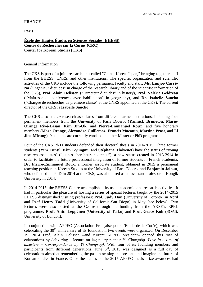# **FRANCE**

**Paris**

# **École des Hautes Études en Sciences Sociales (EHESS) Centre de Recherches sur la Corée (CRC) Center for Korean Studies (CKS)**

# General Information

The CKS is part of a joint research unit called "China, Korea, Japan," bringing together staff from the EHESS, CNRS, and other institutions. The specific organization and scientific activities of the CKS include the following permanent faculty and staff: **Ms. Eunjoo Carré-Na** ("ingénieur d'études" in charge of the research library and of the scientific information of the CKS), **Prof. Alain Delissen** ("Directeur d'études" in history), **Prof. Valérie Gelézeau** ("Maîtresse de conferences avec habilitation" in geography), and **Dr. Isabelle Sancho** ("Chargée de recherches de première classe" at the CNRS appointed at the CKS)**.** The current director of the CKS is **Isabelle Sancho**.

The CKS also has 29 research associates from different partner institutions, including four permanent members from the University of Paris Diderot (**Yannick Bruneton**, **Marie-Orange Rivé-Lasan**, **Kim Jin-Ok**, and **Pierre-Emmanuel Roux**) and five honorary members (**Marc Orange**, **Alexandre Guillemoz**, **Francis Macouin**, **Martine Prost**, and **Li Jine-Mieung**). 9 students are currently enrolled in either Master or PhD programs.

Four of the CKS Ph.D students defended their doctoral thesis in 2014-2015. Three former students (**Yim Eunsil**, **Kim Kyungmi**, and **Stéphane Thévenet**) have the status of "young research associates" ("jeunes chercheurs soutenus"), a new status created in 2013-2914 in order to facilitate the future professional integration of former students in French academia. **Dr. Pierre-Emmanuel Roux**, a former associate student, obtained in 2015 a permanent teaching position in Korean Studies at the University of Paris Diderot and **Benjamin Joinau**, who defended his PhD in 2014 at the CKS, was also hired as an assistant professor at Hongik University in 2014.

In 2014-2015, the EHESS Centre accomplished its usual academic and research activities. It had in particular the pleasure of hosting a series of special lectures taught by the 2014-2015 EHESS distinguished visiting professors: **Prof. Judy Han** (University of Toronto) in April and **Prof Henry Todd** (University of California-San Diego) in May (see below). Two lectures were also hosted at the Centre through the funding from the AKSE's EPEL programme: **Prof. Antti Leppänen** (University of Turku) and **Prof. Grace Koh** (SOAS, University of London).

In conjunction with AFPEC (Association Française pour l'Etude de la Corée), which was celebrating the  $30<sup>th</sup>$  anniversary of its foundation, two events were organized. On December 19, 2014 Prof. Alain Delissen –and current AFPEC president– opened this row of celebrations by delivering a lecture on legendary painter Yi Chungsŏp *(Love in a time of disasters – Correspondence by Yi Chungsŏp).* With four of its founding members and participants from different generations, June  $5<sup>th</sup>$ , 2015 was designed as a full day of celebrations aimed at remembering the past, assessing the present, and imagine the future of Korean studies in France. Once the names of the 2015 AFPEC thesis prize awardees had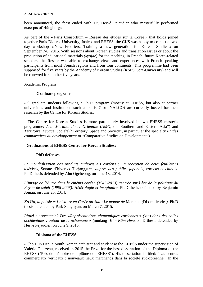been announced, the feast ended with Dr. Hervé Pejaudier who masterfully performed excerpts of Hǔngbo-ga.

As part of the « Paris Consortium – Réseau des études sur la Corée » that holds joined together Paris-Diderot University, Inalco, and EHESS, the CKS was happy to co-host a twoday workshop « New Frontiers, Training a new generation for Korean Studies » on September 7-8, 2015. With sessions about Korean studies and translation issues or about the production of educational materials *(kyojae)* for the teaching, in French, future Korea-related scholars, the Rescor was able to exchange views and experiences with French-speaking participants from most French regions and from four continents. This programme had been supported for five years by the Academy of Korean Studies (KSPS Core-University) and will be renewed for another five years.

# Academic Program

# **Graduate programs**

- 9 graduate students following a Ph.D. program (mostly at EHESS, but also at partner universities and institutions such as Paris 7 or INALCO) are currently hosted for their research by the Centre for Korean Studies.

- The Centre for Korean Studies is more particularly involved in two EHESS master's programme: *Asie Méridionale et Orientale* (*AMO*, or "Southern and Eastern Asia") and *Territoire, Espace, Société* ("Territory, Space and Society", in particular the specialty *Etudes comparatives du développement* or "Comparative Studies on Development").

# **- Graduations at EHESS Centre for Korean Studies:**

### **PhD defenses**

*La mondialisation des produits audiovisuels coréens : La réception de deux feuilletons télévisés,* Sonate d'hiver *et* Taejanggŭm*, auprès des publics japonais, coréens et chinois.* Ph.D thesis defended by Ahn Ogcheong, on June 18, 2014.

*L'image de l'Autre dans le cinéma coréen (1945-2013) centrée sur l'ère de la politique du Rayon de soleil (1998-2008). Hétérologie et imaginaire.* Ph.D thesis defended by Benjamin Joinau, on June 25, 2014.

*Ko Un, la poésie et l'histoire en Corée du Sud : Le monde de* Maninbo *(*Dix mille vies*).* Ph.D thesis defended by Park Sunghyun, on March 7, 2015.

*Rituel ou spectacle? Des «Représentations chamaniques coréennes » (*kut*) dans des salles occidentales : autour de la «chamane » (*mudang*) Kim Kûm-Hwa.* Ph.D thesis defended by Hervé Pejaudier, on June 9, 2015.

### **Diploma of the EHESS**

- Cho Hun Hee, a South Korean architect and student at the EHESS under the supervision of Valérie Gelezeau, received in 2015 the Prize for the best dissertation of the Diploma of the EHESS ("Prix de mémoire de diplôme de l'EHESS"). His dissertation is titled: "Les centres commerciaux verticaux : nouveaux lieux marchands dans la société sud-coréenne." In the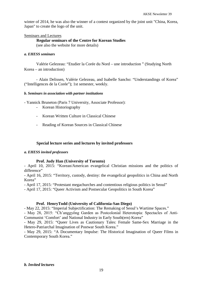winter of 2014, he was also the winner of a contest organized by the joint unit "China, Korea, Japan" to create the logo of the unit.

### Seminars and Lectures

# **Regular seminars of the Centre for Korean Studies**

(see also the website for more details)

# *a. EHESS seminars*

Valérie Gelezeau: "Etudier la Corée du Nord – une introduction " (Studying North Korea – an introduction)

- Alain Delissen, Valérie Gelezeau, and Isabelle Sancho: "Understandings of Korea" ("Intelligences de la Corée"); 1st semester, weekly.

# *b. Seminars in association with partner institutions*

- Yannick Bruneton (Paris 7 University, Associate Professor):

- Korean Historiography
- Korean Written Culture in Classical Chinese
- Reading of Korean Sources in Classical Chinese

# **Special lecture series and lectures by invited professors**

### *a. EHESS invited professors*

# **Prof. Judy Han (University of Toronto)**

- April 10, 2015: "Korean/American evangelical Christian missions and the politics of difference"

- April 16, 2015: "Territory, custody, destiny: the evangelical geopolitics in China and North Korea"

- April 17, 2015: "Protestant megachurches and contentious religious politics in Seoul"

- April 17, 2015: "Queer Activism and Postsecular Geopolitics in South Korea"

# **Prof. HenryTodd (University of California-San Diego)**

- May 22, 2015: "Imperial Subjectification: The Remaking of Seoul's Wartime Spaces."

- May 28, 2015: "Ch'anggyŏng Garden as Postcolonial Heterotopia: Spectacles of Anti-Communist 'Comfort' and National Industry in Early South(ern) Korea"

- May 29, 2015: "Queer Lives as Cautionary Tales: Female Same-Sex Marriage in the Hetero-Patriarchal Imagination of Postwar South Korea."

- May 29, 2015: "A Documentary Impulse: The Historical Imagination of Queer Films in Contemporary South Korea."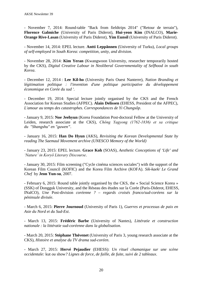- November 7, 2014: Round-table "Back from fieldtrips 2014" ("Retour de terrain"), **Florence Galmiche** (University of Paris Diderot), **Hui-yeon Kim** (INALCO), **Marie-Orange Rive-Lasan** (University of Paris Diderot), **Yim Eunsil** (University of Paris Diderot).

- November 14, 2014: EPEL lecture. **Antti Leppännen** (University of Turku), *Local groups of self-employed in South Korea: competition, unity, and division*.

- November 28, 2014: **Kim Yeran** (Kwangwoon University, researcher temporarily hosted by the CKS), *Digital Creative Labour in Neoliberal Governmentality of Selfhood in south Korea*.

- December 12, 2014 : **Lee Kil-ho** (University Paris Ouest Nanterre), *Nation Branding et légitimation politique : l'invention d'une politique participative du développement économique en Corée du sud '*.

- December 19, 2014: Special lecture jointly organised by the CKS and the French Association for Korean Studies (AFPEC). **Alain Delissen** (EHESS, President of the AFPEC), *L'amour au temps des catastrophes. Correspondances de Yi Chungsôp*.

- January 9, 2015: **Noe Jeehyun** (Korea Foundation Post-doctoral Fellow at the University of Leiden, research associate at the CKS), *Chŏng Yagyong (1762-1836) et sa critique du "Shangshu" en "guwen"*.

- January 16, 2015: **Han Do Hyun** (AKS), *Revisiting the Korean Developmental State by reading The Saemaul Movement archive (UNESCO Memory of the World)*

- January 23, 2015: EPEL lecture. **Grace Koh** (SOAS), *Aesthetic Conceptions of 'Life' and 'Nature' in Koryŏ Literary Discourse*.

- January 30, 2015: Film screening ("Cycle cinéma sciences sociales") with the support of the Korean Film Council (KOFIC) and the Korea Film Archive (KOFA). *Sik-kaek/ Le Grand Chef* by **Jeon Yun-su**, 2007.

- February 6, 2015: Round table jointly organised by the CKS, the « Social Science Korea » (SSK) of Dongguk University, and the Réseau des études sur la Corée (Paris-Diderot, EHESS, INalCO), *Une* Post-division *coréenne ? – regards croisés franco/sud-coréens sur la péninsule divisée*.

- March 6, 2015: **Pierre Journoud** (University of Paris 1), *Guerres et processus de paix en Asie du Nord et du Sud-Est*.

- March 13, 2015: **Frédéric Barbe** (University of Nantes), *Littératie et construction nationale : la littératie sud-coréenne dans la globalisation*.

- March 20, 2015: **Stéphane Thévenet** (University of Paris 3, young research associate at the CKS), *Histoire et analyse du TV drama sud-coréen*.

- March 27, 2015: **Hervé Pejaudier** (EHESS): *Un rituel chamanique sur une scène occidentale:* kut *ou* show*? Lignes de force, de faille, de fuite, suivi de 2 tableaux*.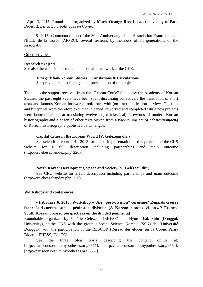- April 3, 2015: Round table organized by **Marie-Orange Rive-Lasan** (University of Paris Diderot), *Les acteurs politiques en Corée*.

- June 5, 2015: Commemoration of the 30th Anniversary of the Association Française pour l'Étude de la Corée (AFPEC); several sessions by members of all generations of the Association.

Other activities:

#### **Research projects**

See also the web site for more details on all team work at the CKS.

### *Han'guk hak***/Korean Studies: Translations & Circulations**

See previous report for a general presentation of the project.

Thanks to the support received from the "Réseau Corée" funded by the Academy of Korean Studies, the past eight years have been spent discussing collectively the translation of short texts and famous Korean forewords took form with (on line) publication in view. Old files and blueprints were therefore exhumed, cleaned, reworked and completed while new projects were launched aimed at translating twelve major (classical) forewords of modern Korean historiography and a dozen of other texts picked from a two-volume set of debates/*nonjaeng* of Korean historiography published by Ch'angbi.

### **Capital Cities in the Korean World (V. Gelézeau dir.)**

See scientific report 2012-2013 for the basic presentation of this project and the CKS website for a full description including partnerships and main outcome (http://crc.ehess.fr/index.php?220).

### **North Korea: Development, Space and Society (V. Gelézeau dir.)**

See CRC website for a full description including partnerships and main outcome (http://crc.ehess.fr/index.php?370).

### **Workshops and conferences**

**- February 6, 2015: Workshop « Une "post-division" coréenne? Regards croisés franco/sud-coréens sur la péninsule divisée » (A Korean « post-division » ? Franco-South Korean crossed perspectives on the divided peninsula)**

Roundtable organized by Valérie Gelézeau (EHESS) and Hyun Thak Shin (Dongguk University), at the CKS with the group « Social Science Korea » (SSK) de l'Université Dongguk, with the participation of the RESCOR (Réseau des études sur la Corée, Paris-Diderot, EHESS, INalCO).

See the three blog posts describing the content online at: [http://parisconsortium.hypotheses.org/6551], [http://parisconsortium.hypotheses.org/6554], [http://parisconsortium.hypotheses.org/6557]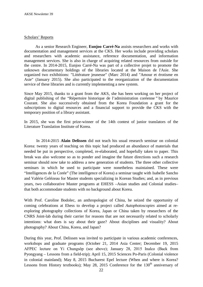#### Scholars' Reports

As a senior Research Engineer, **Eunjoo Carré-Na** assists researchers and works with documentation and management services at the CKS. Her works include providing scholars and researchers with academic assistance, reference documentation, and information management services. She is also in charge of acquiring related resources from outside for the centre. In 2014-2015, Eunjoo Carré-Na was part of a collective projet to promote the unknown documentary holdings of the libraries located at the Maison de l'Asie. She organized two exhibitions: "Littérature jeunesse" (Marc 2014) and "Amour et érotisme en Asie" (January 2015). She also participated to the reorganization of the documentation service of these libraries and is currently implementing a new system.

Since May 2015, thanks to a grant from the AKS, she has been working on her project of digital publishing of the "Répertoire historique de l'administration coréenne " by Maurice Courant. She also successively obtained from the Korea Foundation a grant for the subscriptions to digital resources and a financial support to provide the CKS with the temporary position of a library assistant.

In 2015, she was the first prize-winner of the 14th contest of junior translators of the Literature Translation Institute of Korea.

In 2014-2015 **Alain Delissen** did not teach his usual research seminar on colonial Korea: twenty years of teaching on this topic had produced an abundance of materials that needed be put in perspective, completed, re-elaborated, and hopefully taken to paper. This break was also welcome so as to ponder and imagine the future directions such a research seminar should now take to address a new generation of students. The three other collective seminars in which he used to participate were nonetheless maintained. These were "Intelligences de la Corée" (The intelligence of Korea) a seminar taught with Isabelle Sancho and Valérie Gelézeau for Master students specializing in Korean Studies; and, as in previous years, two collaborative Master programs at EHESS –Asian studies and Colonial studies– that both accommodate students with no background about Korea.

With Prof. Caroline Bodolec, an anthropologist of China, he seized the opportunity of coming celebrations at Ehess to develop a project called *Autophotoscopies* aimed at reexploring photography collections of Korea, Japan or China taken by researchers of the CNRS Joint-lab during their carrier for reasons that are not necessarily related to scholarly intentions: what does is say about their gaze? About disciplines and visuality? About photography? About China, Korea, and Japan?

During this year, Prof. Delissen was invited to participate in various academic conferences, workshops and graduate programs (October 21, 2014 Asia Center; December 19, 2015 AFPEC lecture on Yi Chungsǒp (see above); January 28, 2015 Inalco (Back from Pyongyang – Lessons from a field-trip); April 15, 2015 Sciences Po-Paris (Colonial violence in colonial mainland); May 8, 2015 Bucharest Epel lecture (When and where is Korea? Lessons from History textbooks); May 28, 2015 Conference for the  $130<sup>th</sup>$  anniversary of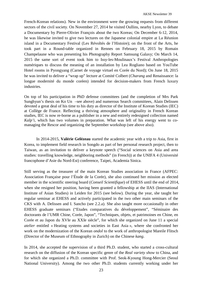French-Korean relations). New in the environment were the growing requests from different sectors of the civil society. On November 27, 2014 he visited Oullins, nearby Lyon, to debate a Documentary by Pierre-Olivier François about the two Koreas; On December 6-12, 2014, he was likewise invited to give two lectures on the Japanese colonial empire at La Réunion island in a Documentary Festival (Les Révoltés de l'Histoire); on the front of the Arts, he took part in a Round-table organized in Rennes on February 18, 2015 by Romain Champelaune who was presenting his Photography Report Samsung Galaxy; On March 14, 2015 the same sort of event took him to Issy-les-Moulinaux's Festival Anthropologies numériques to discuss the meaning of an installation by Lea Rogliano based on YouTube Hotel rooms in Pyongyang (Carnet de voyage virtuel en Corée du Nord); On June 18, 2015 he was invited to deliver a "wrap up" lecture at Comité Colbert (*Charang* and Renaissance: la longue modernité du monde coréen) intended for decision-makers from French luxury industries.

On top of his participation in PhD defense committees (and the completion of Mrs Park Sunghyun's thesis on Ko Un –see above) and numerous Search committees, Alain Delissen devoted a great deal of his time to his duty as director of the Institute of Korean Studies (IEC) at Collège de France. Reflecting a thriving atmosphere and originality in French Korean studies, IEC is now re-borne as a publisher in a new and entirely redesigned collection named *Kalp'i*, which has two volumes in preparation. What was left of his energy went to comanaging the Rescor and organizing the September workshop (see above also).

In 2014-2015, **Valérie Gelézeau** started the academic year with a trip to Asia, first in Korea, to implement field research in Songdo as part of her personal research project, then to Taiwan, as an invitation to deliver a keynote speech ("Social sciences on Asia and area studies: travelling knowledge, neighboring methods" (in French)) at the UNIFA 4 (Université francophone d'Asie du Nord-Est) conference, Taipei, Academia Sinica.

Still serving as the treasurer of the main Korean Studies association in France (AFPEC: Association Française pour l'Étude de la Corée), she also continued her mission as elected member in the scientific steering board (*Conseil Scientifique*) of EHESS until the end of 2014, when she resigned her position, having been granted a fellowship at the IIAS (International Institute of Asian Studies) in Leiden for 2015 (see below). During the year, she taught her regular seminar at EHESS and actively participated in the two other main seminars of the CKS with A. Delissen and I. Sancho (see 2.2.a). She also taught more occasionally in other EHESS graduate seminars ("Etudes comparatives du développement", "Séminaire des doctorants de l'UMR Chine, Corée, Japon", "Techniques, objets, et patrimoines en Chine, en Corée et au Japon du XVIe au XXIe siècle", for which she organized on June 11 a special *atelier* entitled « Heating systems and societies in East Asia », where she confronted her work on the modernization of the Korean *ondol* to the work of anthropologist Mareile Flitsch (Director of the Museum of Ethnography in Zurich) on the Chinese *kang*.

In 2014, she accepted the supervision of a third Ph.D. student, who started a cross-cultural research on the diffusion of the Korean specific genre of the *Real variety show* to China, and for which she organized a Ph.D. committee with Prof. Seok-Kyoung Hong-Mercier (Seoul National University). Among the two other Ph.D. students currently working under her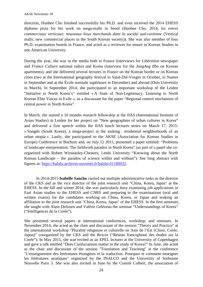direction, Hunhee Cho finished successfully his Ph.D. and even received the 2014 EHESS diploma prize for his work on mega-malls in Seoul (Hunhee Cho, 2014, *les entres commerciaux verticaux: nouveaux lieux marchands dans la société sud-coréenne* (Vertical malls: new commercial places in the South Korean society)). She was also member of four Ph.D. examination boards in France, and acted as a reviewer for tenure in Korean Studies in one American University.

During the year, she was in the media both in France (interviews for *Libération* newspaper and *France Culture* national radio) and Korea (interview for the *JoogAng Ilbo* on Korean apartments), and she delivered several lectures in France on the Korean border or on Korean cities (two at the International geography festival in Saint-Dié-Vosges in October, in Nantes in September and at the École normale supérieure in December) and abroad (Oslo University in March). In September 2014, she participated to an important workshop of the Leiden "Initiative to North Korea's" entitled « A State of Non-Legitimacy. Listening to North Korean Elite Voices in Exile », as a discussant for the paper "Regional control mechanism of central power in North Korea".

In March, she started a 10 months research fellowship at the IIAS (International Institute of Asian Studies) in Leiden for her project on "New geographies of urban cultures in Korea" and delivered a first speech within the IIAS lunch lectures series on March 17, 2015: « Songdo (South Korea), a mega-project in the making : residential neighborhoods of an urban utopia ». Lastly, she participated to the AKSE (Association for Korean Studies in Europe) Conference in Bochum and, on July 12 2015, presented a paper entitled: "Problems of landscape interpretation. The fieldwork paradox in North Korea" (as part of a panel she coorganized with Robert Winstanley-Chesters, Leeds University "Knowing about the North Korean Landscape – the paradox of science within and without"). See long abstract with figures at: https://halshs.archives-ouvertes.fr/halshs-01180032.

In 2014-2015 **Isabelle Sancho** carried out multiple administrative tasks as the director of the CKS and as the vice director of the joint research unit "China, Korea, Japan" at the EHESS. In the fall and winter 2014, she was particularly busy examining job applications in East Asian studies to the EHESS and CNRS and preparing to the examinations (oral and written exams) for the candidates working on China, Korea, or Japan and seaking an affiliation to the joint research unit "China, Korea, Japan" of the EHESS. In the first semester, she taught with Alain Delissen and Valérie Gelézeau the seminar "Understandings of Korea" ("Intelligences de la Corée").

She presented several papers at international conferences, workshop, and seminars. In November 2014, she acted as the chair and discussant of the session "Theory and Practice" at the international workshop "Pluralité religieuse et culturelle en Asie de l'Est (Chine, Corée, Japon)" coorganized by the CKS and the *Rescor* ("Réseau francophone des études sur la Corée"). In May 2015, she was invited as an EPEL lecturer at the University of Copenhagen and gave a talk entitled "Does Confucianism matter in the study of Korea?" In June, she acted as the chair and discussant of the session "Translation and Teaching" at the conference "L'enseignement des littératures étrangères et la traduction. Pourquoi et comment enseigner les littératures asiatiques" organized by the INALCO and the University of Sorbonne Nouvelle Paris 3. She was also invited in June by the Comité Colbert, the association of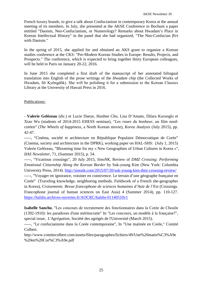French luxury brands, to give a talk about Confucianism in contemporary Korea at the annual meeting of its members. In July, she presented at the AKSE Conference in Bochum a paper entitled "Daoism, Neo-Confucianism, or Numerology? Remarks about Hwadam's Place in Korean Intellectual History" in the panel that she had organized, "The Neo-Confucian *flirt* with Daoism."

In the spring of 2015, she applied for and obtained an AKS grant to organize a Korean studies conference at the CKS: "Pre-Modern Korean Studies in Europe: Results, Projects, and Prospects." The conference, which is expected to bring together thirty European colleagues, will be held in Paris on January 20-22, 2016.

In June 2015 she completed a first draft of the manuscript of her annotated bilingual translation into English of the prose writings of the *Hwadam chip* (the Collected Works of Hwadam, Sŏ Kyŏngdŏk). She will be polishing it for a submission to the Korean Classics Library at the University of Hawaii Press in 2016.

Publications:

- **Valerie Gelézeau** (dir.) et Lucie Daeye, Hunhee Cho, Lisa D'Amato, Dilara Kuruoglu et Xiao Wu (students of 2014-2015 EHESS seminar), "*Les roues du bonheur*, un film nordcoréen" (*The Wheels of happiness*, a North Korean movie), *Korea Analysis* (July 2015), pp. 42-47.

-----, "Cinéma, société et architecture en République Populaire Démocratique de Corée" (Cinema, society and architecture in the DPRK), working paper on HAL-SHS: (July 1, 2015) Valerie Gelézeau, "Blooming time for my « New Geographies of Urban Cultures in Korea »", *IIAS Newsletter*, 71, (Summer 2015), p. 54.

-----, "Vicarious crossings", 20 July 2015, *SinoNK*, Review of *DMZ Crossing: Performing Emotional Citizenship Along the Korean Border* by Suk-young Kim (New York: Columbia University Press, 2014). http://sinonk.com/2015/07/20/suk-young-kim-dmz-crossing-review/

-----, "Voyager en ignorance, voisiner en connivence. Le terrain d'une géographe française en Corée" (Traveling knowledge, neighboring methods. Fieldwork of a French she-geographer in Korea), *Croisements. Revue francophone de sciences humaines d'Asie de l'Est* (Crossings. Francophone journal of human sciences on East Asia) 4 (Summer 2014), pp. 110-127. https://halshs.archives-ouvertes.fr/AOCRC/halshs-01140510v1

**Isabelle Sancho**, "Les concours de recrutement des fonctionnaires dans la Corée de Chosŏn (1392-1910): les paradoxes d'une méritocratie" In "Les concours, un modèle à la française?", special issue, *L'Agrégation*, Société des agrégés de l'Université (March 2015).

-----, "Le confucianisme dans la Corée contemporaine", In "Une matinée en Corée," Comité Colbert.

http://www.comitecolbert.com/assets/files/paragraphes/fichiers/49/Une%20matin%C3%A9e %20en%20Cor%C3%A9e.pdf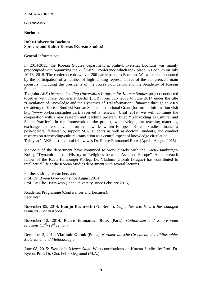### **GERMANY**

#### **Bochum**

# **Ruhr-Universität Bochum Sprache und Kultur Koreas (Korean Studies)**

General Information:

In 2014/2015, the Korean Studies department at Ruhr-Universität Bochum was mainly preoccupied with organizing the  $27<sup>th</sup> AKSE$  conference which took place in Bochum on July 10-13, 2015. The conference drew over 200 participants to Bochum. We were also honoured by the participation of a number of high-ranking representatives of the conference's main sponsors, including the presidents of the Korea Foundation and the Academy of Korean Studies.

The joint *AKS-Overseas Leading Universities Program for Korean Studies* project conducted together with Freie Universität Berlin (FUB) from July 2009 to June 2014 under the title "Circulation of Knowledge and the Dynamics of Transformation", financed through an AKS (Academy of Korean Studies) Korean Studies Institutional Grant (for further information visit http://www.bb-koreanstudies.de/), received a renewal. Until 2019, we will continue the cooperation with a new research and teaching program, titled "Transcoding as Cultural and Social Practice". In the framework of the project, we develop joint teaching materials, exchange lecturers, develop further networks within European Korean Studies, finance a post-doctoral fellowship, support M.A. students as well as doctoral students, and conduct research on transcoding/cultural translation as a central aspect of knowledge circulation. This year's AKS post-doctoral fellow was Dr. Pierre-Emmanuel Roux (April – August 2015).

Members of the department have continued to work closely with the Kaete-Hamburger-Kolleg "Dynamics in the History of Religions between Asia and Europe". As a research fellow of the Kaete-Hamburger-Kolleg, Dr. Vladimir Glomb (Prague) has contributed to intellectual life at the Korean Studies department with several lectures.

Further visiting researchers are: Prof. Dr. Byeon Gye-won (since August 2014) Prof. Dr. Cho Hyun-woo (Inha University, since February 2015)

Academic Programme (Conferences and Lectures): *Lectures:*

November 05, 2014: **Eun-ju Baehrisch** (FU Berlin), *Coffee Service. How it has changed women's lives in Korea*

November 12, 2014: **Pierre Emmanuel Roux** (Paris), *Catholicism and Sino-Korean relations (17th-19th century)*

December 3, 2014: **Vladimir Glomb** (Praha), *Nordkoreanische Geschichte der Philosophie: Materialien und Methodologie*

June 08, 2015: *East Asia Science Slam*. With contributions on Korean Studies by Prof. Dr. Byeon, Prof. Dr. Cho, Felix Siegmund (M.A.)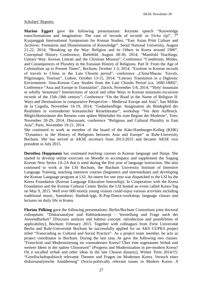# Scholars' Reports:

**Marion Eggert** gave the following presentations: Keynote speech "Knowledge trans/formations and imagination: The case of 'records of records' in *Yŏrha ilgi*", 7th Kyujanggak International Symposium for Korean Studies, "East Asian Print Culture and Archives: Formation and Dissemination of Knowledge", Seoul National University, August 21-22, 2014; "Breaking up the Way: Religion and its Others in Korea around 1900", Conceptual History Conference, Bielefeld, August 28-30, 2014; "Manifold Teachings, Unitary Way: Korean Literati and the Christian Mission", Conference "Conditions, Modes, and Consequences of Plurality in the Eurasian History of Religions. Part II: From the Age of Colonialism up to Present Times", Bochum, October 1-3, 2014; "Exotism in Korean records of travels to China in the Late Chosŏn period", conference .China/Macau: Travels, Pilgrimages, Tourism", Lisbon, October 13-15, 2014; "Literary Translation in a Diglossic Environment: Sino-Korean Case Studies from the Late Chosôn Period (ca. 1600-1800)", Conference "Asia and Europe in Translation", Zürich, November 5-8, 2014; "'Holy' mountain or wholly 'mountain'? Intersections of sacral and other Ways in Korean mountain excursion records of the 15th–18th century", Conference "On the Road in the Name of Religion II: Ways and Destinations in comparative Perspective – Medieval Europe and Asia", San Millán de la Cogolla, November 16-19, 2014; "Gedankenflüge. Imagination als Bindeglied der Realitäten in vormoderner koreanischer Reiseliteratur", workshop "Vor dem Aufbruch. Möglichkeitsräume des Reisens vom späten Mittelalter bis zum Beginn der Moderne", Trier, November 28-29, 2014. Discussant, conference "Religious and Cultural Plurality in East Asia", Paris, November 19-21, 2014.

She continued to work as member of the board of the Käte-Hamburger-Kolleg (KHK) "Dynamics in the History of Religions between Asia and Europe" at Ruhr-University Bochum. She has served as AKSE secretary from 2013-2015 and became AKSE vice president in July 2015.

**Dorothea Hoppmann** has continued teaching courses in Korean language and Hanja. She started to develop online exercises on Moodle to accompany and supplement the Sogang Korean New Series 1A-2A that is used during the first year of language instruction. She also continued to work at the LSI Bochum, the Bochum University Institute of Intensive Language Training, teaching intensive courses (beginners and intermediate) and developing the Korean Language program at LSI. An intern for one year was dispatched to the LSI by the Korea Foundation (Korean Language Education Internship). In Cooperation with the Korea Foundation and the Korean Cultural Center Berlin the LSI hosted an event called Korea-Tag on May 9, 2015. Well over 600 mostly young visitors could enjoy various activities including traditional music, Samulnori, Hanbok-ipgi, K-Pop-Dance-workshop, language classes and lectures on daily life in Korea.

**Florian Pölking** gave the following presentations: Berlin/Bochum Consortium joint doctoral colloquium: "Diskursanalyse und Habituskonzept – Vorstellung und Frage nach der Anwendbarkeit" [Discours analysis and habitus concept: introduction and possibilities of applicability], Bochum: February 2015. Together with colleagues from Freie Universität Berlin and Ruhr-Universität Bochum he successfully applied for an AKS CUPKS project titled "Transcoding as Cultural and Social Practice". As a project team member, he acts as project coordinator in Bochum. During the last year, he gave the following two classes: "Fortschritt und Modernisierung im vormodernen Korea? Über eine sogenannte *Sirhak* und weitere Ideen in der späten Chosonzeit" (Progress and Modernization in pre-modern Korea? On a socalled *sirhak* and other ideas in the late Choson dynasty), Winter Term 2014/15; "Gesellschaftspolitisch relevante Themen und Fragen im Modernen Korea. Versuch einer diskursanalytische Annäherung" (Socio-politically relevant issues in Modern Korea: A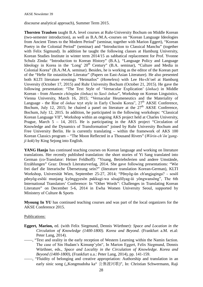discourse analytical approach), Summer Term 2015.

**Thorsten Traulsen** taught B.A. level courses at Ruhr-University Bochum on Middle Korean (two-semester introduction), as well as B.A./M.A.-courses on "Korean Language Ideologies from Ancient Times to the Modern Period" (seminar, together with Marion Eggert), "Korean Poetry in the Colonial Period" (seminar) and "Introduction to Classical Manchu" (together with Felix Sigmund). In addition he taught the following classes at Hamburg University, Korean Studies Institute in winter term 2014/15 as sabbatical replacement for Prof. Yvonne Schulz Zinda: "Introduction to Korean History" (B.A.), "Language Policy and Language Ideology in Korea in the 'Long'  $20<sup>th</sup>$  Century" (B.A. seminar), "Culture and Media in Colonial Korea" (B.A./M.A. seminar). Besides, he is working as the editor of the Korean part of the "Hefte für ostasitische Literatur" (Papers on East-Asian Literature). He also presented both KLTI literature evenings "Heimatlos" (*Homeless*) with Lee Ho-ch'oel at Hamburg Unversity (October 17, 2015) and Ruhr University Bochum (October 21, 2015). He gave the following presentation: "The Text Style of 'Vernacular Explication' (*ŏnhae*) in Middle Korean - from *Hunmin chŏngŭm (ŏnhae)* to *Sasŏ ŏnhae*", Workshop on Korean Linguistics, Vienna University, March 16, 2015; "Vernacular Heumeneutics and the Materiality of Language - the Rise of *ŏnhae* teyt style in Early Chosŏn Korea", 27<sup>th</sup> AKSE Conference, Bochum, July 12, 2015; he chaired a panel on literature at the  $27<sup>th</sup>$  AKSE Conference, Bochum, July 12, 2015. In addition, he participated in the following workshops: "Classical Korean Language VII", Workshop within an ongoing AKS project held at Charles University, Prague, March 5 – 14, 2015. He is participating in the AKS project "Circulation of Knowledge and the Dynamics of Transformation" joined by Ruhr University Bochum and Free University Berlin. He is currently translating – within the framework of AKS 100 Korean Classics program – "The Moon Reflected in a Thousand Rivers" (*Wŏrin-ch'ŏn'gangji kok*) by King Sejong into English.

**YANG Hanju** has continued teaching courses on Korean language and working on literature translations. Her recently published translation: the short stories of Yi Sang translated into German (co-Translator: Heiner Feldhoff): "Yisang, Betriebsferien und andere Umstände, Erzählungen" Graz: Drosch Literaturverlag, 2014. She gave following presentations: "Wie frei darf die literarische Übersetzung sein?" (literature translation Korean-German), KLTI Workshop, Universität Wien, September 25-27, 2014; "Pŏnyŏg-ǔn ch'angjaginga? - sosŏl pŏnyŏg-esŏǔi munjang kyŏnggyesŏn pakkugi-wa sŏsajŏllyag-ǔi yŏngwansŏng", The 6th International Translators' Conference: In "Other Words": Challenges in Translating Korean Literature" on December 5-6, 2014 in Ewha Women University Seoul, supported by Ministery of Culture & Sports

**Myoung In YU** has continued teaching courses and was part of the local organizers for the AKSE Conference 2015.

### Publications:

- **Eggert, Marion,** ed. (with Felix Siegmund, Dennis Würthner): *Space and Location in the Circulation of Knowledge (1400-1800). Korea and Beyond*. (Frankfurt a.M. et.al: Peter Lang, 2014).
- ——, "Text and orality in the early reception of Western Learning within the Namin faction. The case of Sin Hudam's Kimunp'yŏn", In Marion Eggert, Felix Siegmund, Dennis Würthner, eds., *Space and Locality in the Circulation of Knowledge. Korea and Beyond (1400-1800)*, (Frankfurt u.a.: Peter Lang, 2014), pp. 141-159.
- ——, "Fluidity of belonging and creative appropriation: Authorship and translation in an early sinic song ("Kongmudoha ka" 公無渡河歌)", In: Christian Schwermann, Raji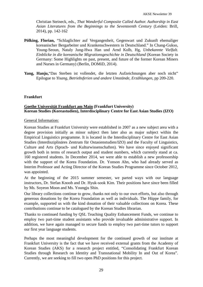Christian Steineck, eds., *That Wonderful Composite Called Author. Authorship in East Asian Literatures from the Beginnings to the Seventeenth Century* (Leiden: Brill, 2014), pp. 142-162

- **Pölking, Florian,** "Schlaglichter auf Vergangenheit, Gegenwart und Zukunft ehemaliger koreanischer Bergarbeiter und Krankenschwestern in Deutschland." In Chang-Gukso, Young-Seoun, Nataly Jung-Hwa Han und Arnd Kolb, Hg, *Unbekannte Vielfalt. Einblicke in die koreanische Migrationsgeschichte in Deutschland* (Korean Society in Germany: Some Highlights on past, present, and future of the former Korean Miners and Nurses in Germany) (Berlin, DOMiD, 2014).
- **Yang, Hanju,**"Das Sterben ist vollendet, die letzten Aufzeichnungen aber noch nicht" Epilogue to *Yisang, Betriebsferien und andere Umstände, Erzählungen*, pp 209-220.

# **Frankfurt**

# **Goethe Universität Frankfurt am Main (Frankfurt University) Korean Studies (Koreastudien), Interdisciplinary Centre for East Asian Studies (IZO)**

### General Information:

Korean Studies at Frankfurt University were established in 2007 as a new subject area with a degree provision initially as minor subject then later also as major subject within the Empirical Linguistics programme. It is located in the Interdisciplinary Centre for East Asian Studies (Interdisziplinäres Zentrum für Ostasienstudien/IZO) and the Faculty of Linguistics, Culture and Arts (Sprach- und Kulturwissenschaften). We have since enjoyed significant growth both in terms of research output and student numbers, which currently stand at ca. 160 registered students. In December 2014, we were able to establish a new professorship with the support of the Korea Foundation. Dr. Yonson Ahn, who had already served as Interim Professor and Acting Director of the Korean Studies Programme since October 2012, was appointed.

At the beginning of the 2015 summer semester, we parted ways with our language instructors, Dr. Stefan Knoob and Dr. Hyuk-sook Kim. Their positions have since been filled by Ms. Soyeon Moon and Ms. Youngju Shin.

Our library collections continue to grow, thanks not only to our own efforts, but also through generous donations by the Korea Foundation as well as individuals. The Hüppe family, for example, supported us with the kind donation of their valuable collections on Korea. These contributions continue to be catalogued by the Korean Studies librarian.

Thanks to continued funding by QSL Teaching Quality Enhancement Funds, we continue to employ two part-time student assistants who provide invaluable administrative support. In addition, we have again managed to secure funds to employ two part-time tutors to support our first year language students.

Perhaps the most meaningful development for the continued growth of our institute at Frankfurt University is the fact that we have received external grants from the Academy of Korean Studies (AKS) for a research project entitled, "Consolidating Frankfurt Korean Studies through Research on Identity and Transnational Mobility In and Out of Korea". Currently, we are seeking to fill two open PhD positions for this project.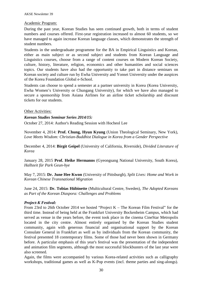# Academic Program:

During the past year, Korean Studies has seen continued growth, both in terms of student numbers and courses offered. First-year registration increased to almost 60 students, so we have managed to again increase Korean language classes, which demonstrates the strength of student numbers.

Students in the undergraduate programme for the BA in Empirical Linguistics and Korean, either as main subject or as second subject and students from Korean Language and Linguistics courses, choose from a range of content courses on Modern Korean Society, culture, history, literature, religion, economics and other humanities and social sciences topics. Our students have also had the opportunity to take part in distance seminars on Korean society and culture run by Ewha University and Yonsei University under the auspices of the Korea Foundation Global e-School.

Students can choose to spend a semester at a partner university in Korea (Korea University, Ewha Women's University or Chungang University), for which we have also managed to secure a sponsorship from Asiana Airlines for an airline ticket scholarship and discount tickets for our students.

### Other Activities:

# *Korean Studies Seminar Series 2014/15:*

October 27, 2014: Author's Reading Session with Hocheol Lee

November 4, 2014: **Prof. Chung, Hyun Kyung** (Union Theological Seminary, New York), *Love Meets Wisdom: Christian-Buddhist Dialogue in Korea from a Gender Perspective*

December 4, 2014: **Birgit Geipel** (University of California, Riverside), *Divided Literature of Korea*

January 28, 2015 **Prof. Heike Hermanns** (Gyeongsang National University, South Korea), *Halbzeit für Park Geun-hye*

May 7, 2015: **Dr. June Hee Kwon** (University of Pittsburgh), *Split Lives: Home and Work in Korean Chinese Transnational Migration*

June 24, 2015: **Dr. Tobias Hübinette** (Multicultural Centre, Sweden), *The Adopted Koreans as Part of the Korean Diaspora: Challenges and Problems*

# *Project-K Festival:*

From 23rd to 26th October 2014 we hosted "Project K – The Korean Film Festival" for the third time. Instead of being held at the Frankfurt University Bockenheim Campus, which had served as venue in the years before, the event took place in the cinema CineStar Metropolis located in the city centre. Almost entirely organised by the Korean Studies student community, again with generous financial and organisational support by the Korean Consulate General in Frankfurt as well as by individuals from the Korean community, the festival presented 18 contemporary films. Some of those had never been shown in Germany before. A particular emphasis of this year's festival was the presentation of the independent and animation film segments, although the most successful blockbusters of the last year were also screened.

Again, the films were accompanied by various Korea-related activities such as calligraphy workshops, traditional games as well as K-Pop events (incl. theme parties and sing-alongs).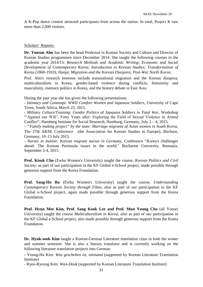A K-Pop dance contest attracted participants from across the nation. In total, Project K saw more than 2,000 visitors.

#### Scholars' Reports:

**Dr. Yonson Ahn** has been the head Professor in Korean Society and Culture and Director of Korean Studies programmes since December 2014. She taught the following courses in the academic year 2014/15: *Research Methods and Academic Writing; Economic and Social Development of Contemporary Korea; Introduction to Korean Studies; Transformation of Korea (1860-1910); Hanja; Migration and the Korean Diaspora; Post-War North Korea*.

Prof. Ahn's research interests include transnational migration and the Korean diaspora, multiculturalism in Korea, gender-based violence during conflicts, femininity and masculinity, memory politics in Korea, and the history debate in East Asia.

During the past year she has given the following presentations:

- *Intimacy and Contempt: WWII Comfort Women and Japanese Soldiers*, University of Cape Town, South Africa, March 23, 2015.

- *Military Culture/Training: Gender Politics of Japanese Soldiers in Total War*, Workshop "ʻAgainst our Will', Forty Years after: Exploring the Field of Sexual Violence in Armed Conflict", Hamburg Institute for Social Research, Hamburg, Germany, July 2 – 4, 2015.

– *"Family making project" by the state: Marriage migrants of Asian women in South Korea*, The 27th AKSE Conference (the Association for Korean Studies in Europe), Bochum, Germany, 10–13 July 2015.

- *Nurses in motion: Korean migrant nurses in Germany*, Conference "Korea's challenges ahead: The Korean Peninsula issues in the world," Bucharest University, Romania, September 2-4, 2015.

**Prof. Kisuk Cho** (Ewha Women's University) taught the course, *Korean Politics and Civil Society,* as part of our participation in the KF Global e-School project, made possible through generous support from the Korea Foundation.

**Prof. Sang-Ho Ro** (Ewha Women's University) taught the course, *Understanding Contemporary Korean Society through Films, also* as part of our participation in the KF Global e-School project, again made possible through generous support from the Korea Foundation.

**Prof. Hyun Mee Kim, Prof. Sang Kook Lee and Prof. Mun Young Cho** (all Yonsei University) taught the course *Multiculturalism in Korea, also* as part of our participation in the KF Global e-School project, also made possible through generous support from the Korea Foundation.

**Dr. Hyuk-sook Kim** taught a Korean-German Literature translation class in both the winter and summer semester. She is also a literary translator and is currently working on the following literature translation projects into German:

- Young-Ha Kim: *Was geschehen ist, niemand* (supported by Korean Literature Translation Institute)

- Ryeo-Ryeong Kim: *Wan-Deuk* (supported by Korean Literature Translation Institute)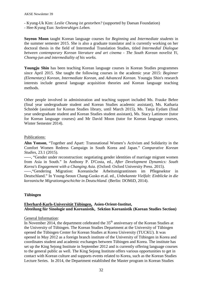- Kyung-Uk Kim: *Leslie Cheung ist gestorben?* (supported by Daesan Foundation)
- Hee-Kyung Eun: *Seelenruhiges Leben.*

**Soyeon Moon** taught Korean language courses for *Beginning* and *Intermediate students* in the summer semester 2015. She is also a graduate translator and is currently working on her doctoral thesis in the field of Intermedial Translation Studies, titled *Intermedial Dialogue between contemporary Korean literature and art cinema - The South Korean novelist Yi, Choeng-jun and intermediality of his works.*

**Youngju Shin** has been teaching Korean language courses in Korean Studies programmes since April 2015. She taught the following courses in the academic year 2015: *Beginner (Elementary) Korean*, *Intermediate Korean*, and *Advanced Korean*. Youngju Shin's research interests include general language acquisition theories and Korean language teaching methods.

Other people involved in administration and teaching support included Ms. Frauke Behre (final year undergraduate student and Korean Studies academic assistant), Ms. Katharia Schnöde (assistant for Korean Studies library, until March 2015), Ms. Tanja Eydam (final year undergraduate student and Korean Studies student assistant), Ms. Stacy Lattimore (tutor for Korean language courses) and Mr David Moon (tutor for Korean language courses, Winter Semester 2014).

# Publications:

**Ahn Yonson**, "Together and Apart: Transnational Women's Activism and Solidarity in the Comfort Women Redress Campaign in South Korea and Japan." *Comparative Korean Studies*, 23.1 (2015).

-----, "Gender under reconstruction: negotiating gender identities of marriage migrant women from Asia in South." In Anthony P. D'Costa, ed., *After Development Dynamics: South Korea's Engagement with a Changing Asia*. (Oxford: Oxford University Press. 2015).

-----,"Gendering Migration: Koreanische Arbeitsmigrantinnen im Pflegesektor in Deutschland." In Young-Seoun Chang-Gusko et.al. ed., *Unbekannte Vielfalt: Einblicke in die koreanische Migrationsgeschichte in Deutschland*. (Berlin: DOMiD, 2014).

# **Tübingen**

# **Eberhard-Karls-Universität Tübingen, Asien-Orient-Institut, Abteilung für Sinologie und Koreanistik, Sektion Koreanistik (Korean Studies Section)**

### General Information:

In November 2014, the department celebrated the  $35<sup>th</sup>$  anniversary of the Korean Studies at the University of Tübingen. The Korean Studies Department at the University of Tübingen opened the Tübingen Center for Korean Studies at Korea University (TUCKU). It was opened in May 2012 as a foreign branch institute of the University of Tübingen in Korea and coordinates student and academic exchanges between Tübingen and Korea. The institute has set up the King Sejong Institute in September 2012 and is currently offering language courses to the general public as well. The King Sejong Institute offers various opportunities to get in contact with Korean culture and supports events related to Korea, such as the Korean Studies Lecture Series. In 2014, the Department established the Master program in Korean Studies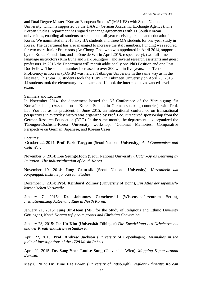and Dual Degree Master "Korean European Studies" (MAKES) with Seoul National University, which is supported by the DAAD (German Academic Exchange Agency). The Korean Studies Department has signed exchange agreements with 11 South Korean universities, enabling all students to spend one full year receiving credits and education in Korea. We nominated in 2015 sixy BA students and three MA students for one-year study in Korea. The department has also managed to increase the staff numbers. Funding was secured for two more Junior Professors (An Chong-Chol who was appointed in April 2014, supported by the Korea Foundation, and Jerôme de Wit in April 2015, respectively), two full-time language instructors (Kim Euna and Paik Seungjoo), and several research assistants and guest professors. In 2016 the Department will recruit additionally one PhD Position and one Post Doc Fellow. The student number increased to over 200 within five years. The Test of Proficiency in Korean (TOPIK) was held at Tübingen University in the same way as in the last year. This year, 58 students took the TOPIK in Tübingen University on April 25, 2015. 44 students took the elementary-level exam and 14 took the intermediate/advanced-level exam.

#### Seminars and Lectures:

In November 2014, the department hosted the  $6<sup>th</sup>$  Conference of the Vereinigung für Koreaforschung (Association of Korean Studies in German-speaking countries), with Prof. Lee You Jae as its president. In June 2015, an international conference on transnational perspectives in everyday history was organized by Prof. Lee. It received sponsorship from the German Research Foundation (DFG). In the same month, the department also organized the Tübingen-Doshisha-Korea University workshop, "Colonial Memories: Comparative Perspective on German, Japanese, and Korean Cases".

#### Lectures:

October 22, 2014: **Prof. Park Taegyun** (Seoul National University), *Anti-Communism and Cold War.*

November 5, 2014: **Lee Seung-Hoon** (Seoul National University), *Catch-Up as Learning by Imitation: The Industrialization of South Korea.*

November 19, 2014: **Jung Geun-sik** (Seoul National University), *Koreanistik am Kyujanggak Institute for Korean Studies*.

December 3, 2014: **Prof. Reinhard Zöllner** (University of Bonn), *Ein Atlas der japanischkoreanischen Vorurteile*.

January 7, 2015: **Dr. Johannes Gerschewski** (Wissenschaftszentrum Berlin), *Institutionalizing Autocratic Rule in North Korea*.

January 21, 2015: **Jung Jin-Heon** (MPI for the Study of Religious and Ethnic Diversity Göttingen), *North Korean refugee-migrants and Christian Conversion*.

January 28, 2015: **Jee-Un Kim** (Universität Tübingen) *Die Entwicklung des Urheberrechts und der Kreativindustrien in Südkorea*.

April 22, 2015: **Prof. Andrew Jackson** (University of Copenhagen), *Anomalies in the judicial investigations of the 1728 Musin Rebels*.

April 29, 2015: **Dr. Sang-Yeon Louise Sung** (Universität Wien), *Mapping K-pop around Eurasia*.

May 6, 2015: **Dr. June Hee Kwon** (University of Pittsburgh), *Vigilant Ethnicity: Korean*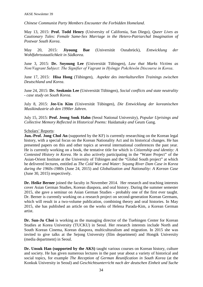*Chinese Communist Party Members Encounter the Forbidden Homeland*.

May 13, 2015: **Prof. Todd Henry** (University of California, San Diego), *Queer Lives as Cautionary Tales: Female Same-Sex Marriage in the Hetero-Patriarchal Imagination of Postwar South Korea*.

May 20, 2015: **Jiyoung Bae** (Universität Osnabrück), *Entwicklung der Wohlfahrtsstaatlichkeit in Südkorea*.

June 3, 2015: **Dr. Soyoung Lee** (Universität Tübingen), *Law that Marks Victims as Non/Vagrant Subject: The Signifier of Vagrant in Hyŏngje Pokchiwŏn Discourse in Korea*.

June 17, 2015: **Hisa Hong** (Tübingen), *Aspekte des interkulturellen Trainings zwischen Deutschland und Korea*.

June 24, 2015: **Dr. Seokmin Lee** (Universität Tübingen), *Social conflicts and state neutrality - case study on South Korea*.

July 8, 2015: **Jee-Un Kim** (Universität Tübingen), *Die Entwicklung der koreanischen Musikindustrie ab den 1990er Jahren*.

July 15, 2015: **Prof. Jeong Sook Hahn** (Seoul National University), *Popular Uprisings and Collective Memory Reflected in Historical Poems:* Haidamaky *and* Geum Gang.

#### Scholars' Reports:

**Jun.-Prof. Jong Chol An** (supported by the KF) is currently researching on the Korean legal history, with a special focus on the Korean Nationality Act and its historical changes. He has presented papers on this and other topics at several international conferences the past year. He is currently working on a book, the tentative title for which is *Citizenship and identity: A Contested History in Korea*. He is also actively participating in the "Water Project" of the Asian-Orient Institute at the University of Tübingen and the "Global South project" at which he delivered lectures, entitled as *The Cold War and Water: Soyang River Dam Case in Korea during the 1960s-1980s* (June 24, 2015) and *Globalization and Nationality: A Korean Case* (June 30, 2015) respectively.

**Dr. Heike Berner** joined the faculty in November 2014. Her research and teaching interests cover Asian German Studies, Korean diaspora, and oral history. During the summer semester 2015, she gave a seminar on Asian German Studies - probably one of the first ever taught. Dr. Berner is currently working on a research project on second-generation Korean Germans, which will result in a two-volume publication, combining theory and oral histories. In May 2015, she has published an article on the works of Helena Parada-Kim, a Korean German artist.

**Dr. Sun-Ju Choi** is working as the managing director of the Tuebingen Center for Korean Studies at Korea University (TUCKU) in Seoul. Her research interests include North and South Korean Cinema, Korean diaspora, multiculturalism and migration. In 2015 she was invited to give talks at the Sejong University (film department) and Hongik University (media department) in Seoul.

**Dr. Unsuk Han (supported by the AKS)** taught various courses on Korean history, culture and society. He has given numerous lectures in the past year about a variety of historical and social topics, for example *The Reception of German Reunification in South Korea* (at the Konkuk University in Seoul) and *Geschichtsunterricht nach der deutschen Einheit und Suche*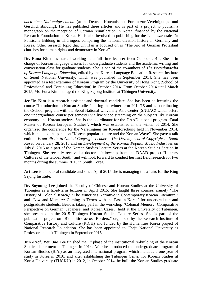*nach einer Nationalgeschichte* (at the Deutsch-Koreanischen Forum zur Vereinigungs- und Geschichtsbildung). He has published three articles and is part of a project to publish a monograph on the reception of German reunification in Korea, financed by the National Research Foundation of Korea. He is also involved in publishing for the Landeszentrale für Politische Bildung in Thüringen, comparing the national division history in Germany and Korea. Other research topic that Dr. Han is focused on is "The Aid of German Protestant churches for human rights and democracy in Korea".

**Dr. Euna Kim** has started working as a full time lecturer from October 2014. She is in charge of Korean language classes for undergraduate students and the academic writing and conversation class for graduate students. She is one of the co-authors of *The Encyclopaedia of Korean Language Education*, edited by the Korean Language Education Research Institute of Seoul National University, which was published in September 2014. She has been appointed as a test examiner of Korean Program by the University of Hong Kong (School of Professional and Continuing Education) in October 2014. From October 2014 until March 2015, Ms. Euna Kim managed the King Sejong Institute at Tübingen University.

**Jee-Un Kim** is a research assistant and doctoral candidate. She has been co-lecturing the course "Introduction to Korean Studies" during the winter term 2014/15 and is coordinating the eSchool-program with the Seoul National University Asia Center (SNUAC) which offers one undergraduate course per semester via live video streaming on the subjects like Korean economy and Korean society. She is the coordinator for the DAAD stipend program "Dual Master of Korean European Studies", which was established in the winter of 2014. She organized the conference for the Vereinigung für Koreaforschung held in November 2014, which included the panel on "Korean popular culture and the Korean Wave". She gave a talk entitled *From Pirate to Global Copyright Leader – The Development of Copyright in South Korea* on January 28, 2015 and on *Development of the Korean Popular Music Industries* on July 8, 2015 as a part of the Korean Studies Lecture Series at the Korean Studies Section in Tübingen. She recently received a doctoral fellowship from the DAAD project "Literary Cultures of the Global South" and will look forward to conduct her first field research for two months during the summer 2015 in South Korea.

**Ari Lee** is a doctoral candidate and since April 2015 she is managing the affairs for the King Sejong Institute.

**Dr. Soyoung Lee** joined the Faculty of Chinese and Korean Studies at the University of Tübingen as a fixed-term lecturer in April 2015. She taught three courses, namely "The History of Colonial Korea," "The Minorities Narrative in Contemporary Korean Literature," and "Law and Memory: Coming to Terms with the Past in Korea" for undergraduate and postgraduate students. Besides taking part in the workshop "Colonial Memory: Comparative Perspective on German, Japanese, and Korean Cases," held at the University of Tübingen, she presented in the 2015 Tübingen Korean Studies Lecture Series. She is part of the publication project on "Biopolitics across Borders," organized by the Research Institute of Comparative History and Culture (RICH) and funded by the Humanities Korea project of National Research Foundation. She has been appointed to Cheju National University as Professor and left Tübingen in September 2015.

**Jun.-Prof. You Jae Lee** finished the 1<sup>st</sup> phase of the institutional re-building of the Korean Studies department in Tübingen in 2014. After he introduced the undergraduate program of Korean Studies (B.A.) as an integrated international program which includes a one-year of study in Korea in 2010, and after establishing the Tübingen Center for Korean Studies at Korea University (TUCKU) in 2012, in October 2014, he built the Korean Studies graduate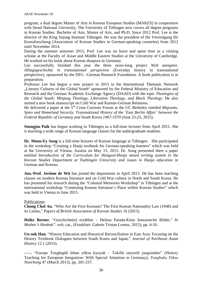program, a dual degree Master of Arts in Korean European Studies (MAKES) in cooperation with Seoul National University. The University of Tübingen now covers all degree programs in Korean Studies: Bachelor of Arts, Master of Arts, and Ph.D. Since 2012 Prof. Lee is the director of the King Sejong Institute Tübingen. He was the president of the Vereinigung für Koreaforschung (Association of Korean Studies in German-speaking countries) from 2012 until November 2014.

During the summer semester 2015, Prof. Lee was on leave and spent time as a visiting scholar at the Faculty of Asian and Middle Eastern Studies at the University of Cambridge. He worked on his book about Korean diaspora in Germany.

Lee successfully finished this year the three years-long project *Welt aneignen. Alltagsgeschichte in transnational perspective* (Everyday history in transnational perspective), sponsored by the DFG –German Research Foundation. A book publication is in preparation.

Professor Lee has begun a new project in 2015 in the International Thematic Network "Literary Cultures of the Global South" sponsored by the Federal Ministry of Education and Research and the German Academic Exchange Agency (DAAD) with the topic *Theologies of the Global South: Minjung Theology, Liberation Theology, and Black Theology*. He also started a new book manuscript on Cold War and Korean-German Relations.

He delivered a paper at the 5<sup>th</sup> Cross Currents Forum at the UC Berkeley entitled *Migrants*, *Spies and Homeland Security. Transnational History of the 'East Berlin Affair' between the Federal Republic of Germany and South Korea 1967-1970* (June 23-25, 2015).

**Seungjoo Paik** has begun working in Tübingen as a full-time lecturer from April 2015. She is teaching a wide range of Korean language classes for the undergraduate students.

**Dr. Moon-Ey Song** is a full-time lecturer of Korean language at Tübingen. She participated in the workshop "Creating a Hanja textbook for German-speaking learners" which was held at the University of Vienna, Austria on May 15, 2015. Dr. Song presented there a paper entitled *Introduction of the Curriculum for Hangeul-Hanja mixed writing system in the Korean Studies Department at Tuebingen University and issues in Hanja education* in German and Korean.

**Jun.-Prof. Jerôme de Wit** has joined the department in April 2015. He has been teaching classes on modern Korean literature and on Cold War culture in North and South Korea. He has presented his research during the "Colonial Memories Workshop" in Tübingen and at the international workshop "Contesting Korean literature´s Place within Korean Studies" which was held in Vienna in June 2015.

### Publications:

**Chong Chol An**, "Who Are the First Koreans? The First Korean Nationality Law (1948) and its Limits," *Papers of British Association of Korean Studies* 16 (2015).

**Heike Berner**, "Geschichte(n) erzählen – Helena Parada-Kims koreanische Bilder," *In Mother's Hanbok"*. exh. cat., (Frankfurt: Galerie Tristan Lorenz, 2015), pp. 4-10.

**Un-suk Han**, "History Education and Historical Reconciliation in East Asia: Focusing on the History Textbook Dialogues between South Korea and Japan," *Journal of Northeast Asian History* 12.1 (2015).

-----, "Europe Tonghapŭl ŭihan yŏksa kyoyuk – Tokilŭi saryerŭl jungsimŭro" (History Teaching for European Integration: With Special Attention to Germany), *Tongbuka Yŏksa Nonchong* 47 (March 2015), pp. 201-237.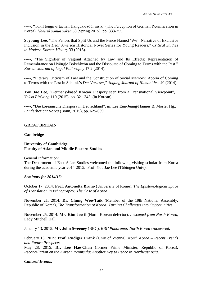-----, "Tokil tongir-e taehan Hanguk-esŏŭi insik" (The Perception of German Reunification in Korea), *Naeirŭl yŏnŭn yŏksa* 58 (Spring 2015), pp. 333-355.

**Soyoung Lee**, "The Fences that Split Us and the Fence Named 'We': Narrative of Exclusive Inclusion in the *Dear America* Historical Novel Series for Young Readers," *Critical Studies in Modern Korean History* 33 (2015).

-----, "The Signifier of Vagrant Attached by Law and Its Effects: Representation of Remembrance on Hyŏngje Bokchiwŏn and the Discourse of Coming to Terms with the Past." *Korean Journal of Legal Philosophy* 17.2 (2014).

-----, "Literary Criticism of Law and the Construction of Social Memory: Aporia of Coming to Terms with the Past in Schlink's *Der Vorleser*," *Sogang Journal of Humanities*. 40 (2014).

**You Jae Lee**, "Germany-based Korean Diaspory seen from a Transnational Viewpoint", *Yoksa Pip'yong* 110 (2015), pp. 321-343. (in Korean)

-----, "Die koreanische Diaspora in Deutschland", in: Lee Eun-Jeung/Hannes B. Mosler Hg., *Länderbericht Korea* (Bonn, 2015), pp. 625-639.

#### **GREAT BRITAIN**

#### **Cambridge**

#### **University of Cambridge Faculty of Asian and Middle Eastern Studies**

General Information:

The Department of East Asian Studies welcomed the following visiting scholar from Korea during the academic year 2014-2015: Prof. You Jae Lee (Tübingen Univ).

#### *Seminars for 2014/15*:

October 17, 2014: **Prof. Antonetta Bruno** (University of Rome), *The Epistemological Space of Translation in Ethnography: The Case of Korea*.

November 21, 2014: **Dr. Chung Woo-Taik** (Member of the 19th National Assembly, Republic of Korea), *The Transformation of Korea: Turning Challenges into Opportunities*.

November 25, 2014: **Mr. Kim Joo-il** (North Korean defector), *I escaped from North Korea*, Lady Mitchell Hall.

January 13, 2015: **Mr. John Sweeney** (BBC), *BBC Panorama: North Korea Uncovered*.

February 13, 2015: **Prof. Rudiger Frank** (Univ of Vienna), *North Korea – Recent Trends and Future Prospects*.

May 28, 2015: **Dr. Lee Hae-Chan** (former Prime Minister, Republic of Korea), *Reconciliation on the Korean Peninsula: Another Key to Peace in Northeast Asia*.

### *Cultural Events*: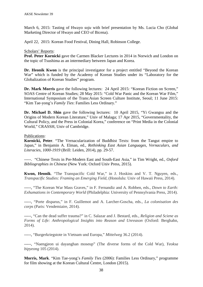March 6, 2015: Tasting of Hwayo *soju* with brief presentation by Ms. Lucia Cho (Global Marketing Director of Hwayo and CEO of Bicena).

April 22, 2015: Korean Food Festival, Dining Hall, Robinson College.

# Scholars' Reports:

**Prof. Peter Kornicki** gave the Carmen Blacker Lectures in 2014 in Norwich and London on the topic of Tsushima as an intermediary between Japan and Korea.

Dr. Heonik Kwon is the principal investigator for a project entitled "Beyond the Korean War" which is funded by the Academy of Korean Studies under its "Laboratory for the Globalization of Korean Studies" program.

**Dr. Mark Morris** gave the following lectures: 24 April 2015: "Korean Fiction on Screen," SOAS Centre of Korean Studies; 28 May 2015: "Cold War Panic and the Korean War Film," International Symposium of the Trans:Asian Screen Culture Institute, Seoul; 11 June 2015: "Kim Tae-yong's *Family Ties*: Families Less Ordinary."

**Dr. Michael D. Shin** gave the following lectures: 10 April 2015, "Yi Gwangsu and the Origins of Modern Korean Literature," Univ of Malaga; 17 Apr 2015, "Governmentality, the Cultural Policy, and the Press in Colonial Korea," conference on "Print Media in the Colonial World," CRASSH, Univ of Cambridge.

### Publications:

**Kornicki, Peter**. "The Vernacularization of Buddhist Texts: from the Tangut empire to Japan," in Benjamin A. Elman, ed., *Rethinking East Asian Languages, Vernaculars, and Literacies, 1000-1919* (Brill: Leiden, 2014), pp. 29-57.

-----. "Chinese Texts in Pre-Modern East and South-East Asia," in Tim Wright, ed., *Oxford Bibliographies in Chinese* (New York: Oxford Univ Press, 2015).

**Kwon, Heonik**. "The Transpacific Cold War," in J. Hoskins and V. T. Nguyen, eds., *Transpacific Studies: Framing an Emerging Field*, (Honolulu: Univ of Hawaii Press, 2014).

-----, "The Korean War Mass Graves," in F. Fernandiz and A. Robben, eds., *Down to Earth: Exhumations in Contemporary World* (Philadelphia: University of Pennsylvania Press, 2014).

-----, "Porte disparus," in F. Guillemot and A. Larcher-Goscha, eds., *La colonisation des corps* (Paris: Vendemiaire, 2014).

-----, "Can the dead suffer trauma?" in C. Salazar and J. Bestard, eds., *Religion and Sciene as Forms of Life: Anthropological Insights into Reason and Unreason* (Oxford: Berghahn, 2014).

-----, "Burgerkriegstote in Vietnam und Europa," *Mittelweg* 36.2 (2014).

-----, "Naengjeon ui dayanghan moseup" (The diverse forms of the Cold War), *Yeoksa bipyeong* 105 (2014).

**Morris, Mark**. "Kim Tae-yong's *Family Ties* (2006): Families Less Ordinary," programme for film showing at the Korean Cultural Centre, London (2015).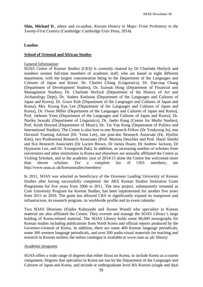**Shin, Michael D**., editor and co-author, *Korean History in Maps: From Prehistory to the Twenty-First Century* (Cambridge: Cambridge Univ Press, 2014).

# **London**

### **School of Oriental and African Studies**

### General Information:

SOAS Centre of Korean Studies (CKS) is currently chaired by Dr Charlotte Horlyck and numbers sixteen full-time members of academic staff, who are based in eight different department, with the largest concentration being in the Department of the Languages and Cultures of Japan and Korea: Dr. Charles Chang (Linguistics), Dr. Dae-oup Chang (Department of Development Studies), Dr. Eunsuk Hong (Department of Financial and Management Studies), Dr. Charlotte Horlyck (Department of the History of Art and Archaeology Dept), Dr. Anders Karlsson (Department of the Languages and Cultures of Japan and Korea), Dr. Grace Koh (Department of the Languages and Cultures of Japan and Korea), Mrs. Kyung Eun Lee (Department of the Languages and Cultures of Japan and Korea), Dr. Owen Miller (Department of the Languages and Cultures of Japan and Korea), Prof. Jaehoon Yeon (Department of the Languages and Cultures of Japan and Korea), Dr. Noriko Iwasaki (Department of Linguistics), Dr. Jaeho Kang (Centre for Media Studies), Prof. Keith Howard (Department of Music), Dr. Tat Yan Kong (Department of Politics and International Studies). The Centre is also host to one Research Fellow (Dr Youkyung Ju), one Doctoral Training Advisor (Dr. Yenn Lee), one post-doc Research Associate (Dr. Hyelim Kim), two Professorial Research Associates (Prof. Martina Deuchler and Prof. Hazel Smith) and five Research Associates (Dr Lucien Brown, Dr James Hoare, Dr Andrew Jackson, Dr Hyunseon Lee, and Dr. Youngsook Pak). In addition, an increasing number of scholars from universities and other institutions in Korea and elsewhere are annually affiliated the Centre as Visiting Scholars, and in the academic year of 2014/15 alone the Centre has welcomed more than eleven scholars. For a complete list of CKS members, see http://www.soas.ac.uk/koreanstudies/members/

In 2011, SOAS was selected as beneficiary of the Overseas Leading University of Korean Studies after having successfully completed the AKS Korean Studies Institution Grant Programme for five years from 2006 to 2011. The new project, subsequently renamed as Core University Program for Korean Studies, has been implemented for another five years from 2011 to 2016. The grant has allowed CKS to significantly expand its manpower and infrastructure, its research program, its worldwide profile and its event calendar.

Two SOAS librarians (Fujiko Kobayashi and Jiyoon Wood) who specialize in Korean material are also affiliated the Centre. They oversee and manage the SOAS Library's large holding of Korea-related material. The SOAS Library holds some 80,000 monographs for Korean studies including publications from North Korea and official reports produced by the Governor-General of Korea. In addition, there are some 400 Korean language periodicals, some 300 western language periodicals, and over 500 audio-visual materials for teaching and research in Korean studies; the online catalogue is available at www.soas.ac.uk/ library/

### Academic programs

SOAS offers a wide range of degrees that either focus on Korea, or include Korea as a course component. Degrees that specialize in Korea are run by the Department of the Languages and Cultures of Japan and Korea, and include at undergraduate level BA Korean (single and dual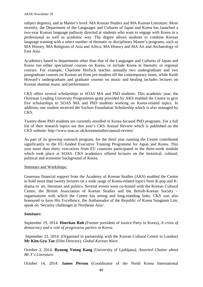subject degrees), and at Master's level: MA Korean Studies and MA Korean Literature. More recently, the Department of the Languages and Cultures of Japan and Korea has launched a two-year Korean language pathway directed at students who want to engage with Korea in a professional as well as academic way. The degree allows students to combine Korean language training with a select number of thematic or disciplinary Master's programs, such as MA History, MA Religions of Asia and Africa, MA History and MA Art and Archaeology of East Asia.

Academics based in departments other than that of the Languages and Cultures of Japan and Korea run either specialized courses on Korea, or include Korea in thematic or regional courses. For example, Charlotte Horlyck teaches annually two undergraduate and two postgraduate courses on Korean art from pre-modern till the contemporary times, while Keith Howard's undergraduate and graduate courses on music and healing includes lectures on Korean shaman music and performance.

CKS offers several scholarships to SOAS MA and PhD students. This academic year, the Overseas Leading University Programmes grant provided by AKS enabled the Centre to give five scholarships to SOAS MA and PhD students working on Korea-related topics. In addition, one student received the Sochon Foundation Scholarship which is also managed by CKS.

Twenty-three PhD students are currently enrolled in Korea-focused PhD programs. For a full list of their research topics see this year's CKS Annual Review which is published on the CKS website: http://www.soas.ac.uk/koreanstudies/annual-review/

As part of its growing outreach program, for the third year running the Centre contributed significantly to the EU-funded Executive Training Programme for Japan and Korea. This year more than thirty executives from EU countries participated in the three-week module which took place at SOAS. CKS academics offered lectures on the historical, cultural, political and economic background of Korea.

# Seminars and Workshops:

Generous financial support from the Academy of Korean Studies (AKS) enabled the Centre to hold more than twenty lectures on a wide range of Korea-related topics from K-pop and Kdrama to art, literature and politics. Several events were co-hosted with the Korean Cultural Centre, the British Association of Korean Studies and the British-Korean Society – organisations with which the Centre has strong and long-standing links. CKS was also honoured to have His Excellency, the Ambassador of the Republic of Korea Sungnam Lim, speak on 'Security challenges in Northeast Asia'.

### *Seminars:*

September 19, 2014: **Hoechan Roh** (Former president of Justice Party in Korea), *A crisis of democracy and a role of progressive parties in Korea*.

September 23, 2014: (Organised in partnership with the Korean Cultural Centre in London) **Mr Kim Gyu Tae** (Film Director), *Global Korean Wave*.

October 3, 2014: **Byoung Yoong Kang** (University of Ljubljana), *Assorted Chatter about Mr.Y's Literature*.

October 14, 2014: **James Person** (Coordinator of the North Korea International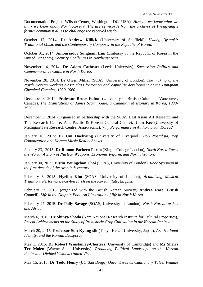Documentation Project, Wilson Center, Washington DC, USA), *How do we know what we think we know about North Korea?: The use of records from the archives of Pyongyang's former communist allies to challenge the received wisdom*.

October 17, 2014: **Dr Andrew Killick** (University of Sheffield), *Hwang Byungki: Traditional Music and the Contemporary Composer in the Republic of Korea*.

October 31, 2014: **Ambassador Sungnam Lim** (Embassy of the Republic of Korea in the United Kingdom), *Security Challenges in Northeast Asia*.

November 14, 2014: **Dr Adam Cathcart** (Leeds University), *Succession Politics and Commemorative Culture in North Korea*.

November 28, 2014: **Dr Owen Miller** (SOAS, University of London), *The making of the North Korean working class: class formation and capitalist development at the Hungnam Chemical Complex, 1930-1960*.

December 3, 2014: **Professor Bruce Fulton** (University of British Columbia, Vancouver, Canada), *The Translations of James Scarth Gale, a Canadian Missionary in Korea, 1888- 1929*

December 5, 2014 (Organised in partnership with the SOAS East Asian Art Research and Tate Research Centre: Asia-Pacific & Korean Cultural Centre): **Joan Kee** (University of Michigan/Tate Research Centre: Asia-Pacific), *Why Performance in Authoritarian Korea?*

January 16, 2015: **Dr Um Haekyung** (University of Liverpool), *Pop Nostalgia, Pop Canonization and Korean Music Reality Shows*.

January 23, 2015: **Dr Ramon Pachero Pardo** (King's College London), *North Korea Faces the World: A Story of Nuclear Weapons, Economic Reform, and Normalization*.

January 30, 2015: **Justin Youngchan Choi** (SOAS, University of London), *Rhee Syngman in the first decade of the twentieth-century*.

February 6, 2015: **Hyelim Kim** (SOAS, University of London), *Actualising Musical Tradition: Performance-as-Research on the Korean flute,* taegŭm*.*

February 17, 2015: (organized with the British Korean Society) **Andrea Rose** (British Council), *Life in the Dolphin Pool. An Illustration of life in North Korea*.

February 27, 2015: **Dr Polly Savage** (SOAS, University of London), *North Korean artists and Africa*.

March 6, 2015: **Dr Shinya Shoda** (Nara National Research Institute for Cultural Properties), *Recent Achievements on the Study of Prehistoric Crop Cultivation in the Korean Peninsula*.

March 20, 2015: **Professor Suh Kyung-sik** (Tokyo Keizai University, Japan), *Art, National Identity, and the Korean Diaspora*.

May 1, 2015: **Dr Robert Winstanley-Chesters** (University of Cambridge) and **Ms Sherri Ter Molen** (Wayne State University), *Producing Political Landscape on the Korean Peninsula: Divided Visions, United Vista*.

May 15, 2015: **Dr Todd Henry** (UC San Diego) *Queer Lives as Cautionary Tales: Female*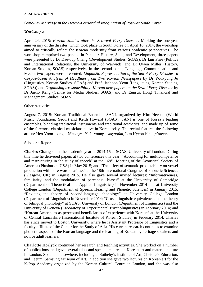# *Same-Sex Marriage in the Hetero-Patriarchal Imagination of Postwar South Korea*.

# *Workshops:*

April 24, 2015: *Korean Studies after the Seoweol Ferry Disaster*. Marking the one-year anniversary of the disaster, which took place in South Korea on April 16, 2014, the workshop aimed to critically reflect the Korean modernity from various academic perspectives. The workshop comprised two panels. In Panel 1: History, State, and Development, three papers were presented by Dr Dae-oup Chang (Development Studies, SOAS), Dr Iain Pirie (Politics and International Relations, the University of Warwick) and Dr Owen Miller (History, Korean Studies, SOAS) respectively. In the second panel, Language, Communication and Media, two papers were presented: *Linguistic Representation of the Sewol Ferry Disaster: a Corpus-based Analysis of Headlines from Two Korean Newspapers* by Dr Youkyung Ju (Linguistics, Korean Studies, SOAS) and Prof. Jaehoon Yeon (Linguistics, Korean Studies, SOAS)) and *Organising irresponsibility: Korean newspapers on the Sewol Ferry Disaster* by Dr Jaeho Kang (Centre for Media Studies, SOAS) and Dr Eunsuk Hong (Financial and Management Studies, SOAS).

# Other Activities

August 7, 2015: Korean Traditional Ensemble SANI, organized by Kim Heesun (World Music Foundation, Seoul) and Keith Howard (SOAS). SANI is one of Korea's leading ensembles, blending traditional instruments and traditional aesthetics, and made up of some of the foremost classical musicians active in Korea today. The recital featured the following artists: Heo Yoon-jeong – *kŏmungo*, Yi Ji-young – *kayagŭm*, Lim Hyeon-bin – *p'ansori*.

### Scholars' Reports

**Charles Chang** spent the academic year of 2014-15 at SOAS, University of London. During this time he delivered papers at two conferences this year: "Accounting for multicompetence and restructuring in the study of speech" at the  $169<sup>th</sup>$  Meeting of the Acoustical Society of America (Pittsburgh, USA) in May 2015; and "The effect of semantic predictability on vowel production with pure word deafness" at the 18th International Congress of Phonetic Sciences (Glasgow, UK) in August 2015. He also gave several invited lectures: "Informativeness, familiarity, and the modulation of perceptual biases" at the University of Cambridge (Department of Theoretical and Applied Linguistics) in November 2014 and at University College London (Department of Speech, Hearing and Phonetic Sciences) in January 2015; "Revising the theory of second-language phonology" at University College London (Department of Linguistics) in November 2014; "Cross- linguistic equivalence and the theory of bilingual phonology" at SOAS, University of London (Department of Linguistics) and the University of Geneva (Laboratory of Experimental Psycholinguistics) in February 2014; and "Korean Americans as perceptual beneficiaries of experience with Korean" at the University of Central Lancashire (International Institute of Korean Studies) in February 2014. Charles has since moved to Boston University, where he is Assistant Professor of Linguistics and a faculty affiliate of the Center for the Study of Asia. His current research continues to examine phonetic aspects of the Korean language and the learning of Korean by heritage speakers and novice adult learners.

**Charlotte Horlyck** continued her research and teaching activities. She worked on a number of publications, and gave several talks and special lectures on Korean art and material culture in London, Seoul and elsewhere, including at Sotheby's Institute of Art, Christie's Education, and Leeum, Samsung Museum of Art. In addition she gave two lectures on Korean art for the K-Pop Academy organized by the Korean Cultural Centre in London, and she was also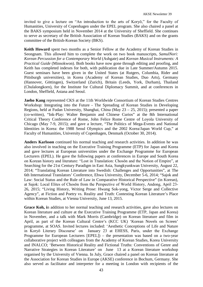invited to give a lecture on "An introduction to the arts of Koryŏ," for the Faculty of Humanities, University of Copenhagen under the EPEL program. She also chaired a panel at the BAKS symposium held in November 2014 at the University of Sheffield. She continues to serve as secretary of the British Association of Korean Studies (BAKS) and on the grants committee of the British-Korean Society (BKS).

**Keith Howard** spent two months as a Senior Fellow at the Academy of Korean Studies in Seongnam. This allowed him to complete the work on two book manuscripts, *SamulNori: Korean Percussion for a Contemporary World* (Ashgate) and *Korean Musical Instruments: A Practical Guide* (Minsokwon). Both books have now gone through editing and proofing, and Keith has completed indexes for both, with publication due in Late Summer/Autumn 2015. Guest seminars have been given in the United States (at Rutgers, Columbia, Rider and Pittsburgh universities), in Korea (Academy of Korean Studies, Duo Arts), Germany (Hannover, Göttingen), Switzerland (Zurich), Britain (Leeds, York, Durham), Thailand (Chulalongkorn), for the Institute for Cultural Diplomacy Summit, and at conferences in London, Sheffield, Astana and Seoul.

**Jaeho Kang** represented CKS at the 11th Worldwide Consortium of Korean Studies Centres Workshop: Integrating into the Future - The Spreading of Korean Studies in Developing Regions, held at Fudan University, Shanghai, China (May 23 – 25, 2015); presented a paper (co-written), "Ink-Play: Walter Benjamin and Chinese Curios" at the 8th International Critical Theory Conference of Rome, John Felice Rome Centre of Loyola University of Chicago (May 7-9, 2015); and gave a lecture, "The Politics of Mega-Events and National Identities in Korea: the 1988 Seoul Olympics and the 2002 Korea/Japan World Cup," at Faculty of Humanities, University of Copenhagen, Denmark (October 30, 2014).

**Anders Karlsson** continued his normal teaching and research activities. In addition he was also involved in teaching on the Executive Training Programme (ETP) for Japan and Korea and gave lectures at European universities under the Exchange Programme for European Lecturers (EPEL). He gave the following papers at conferences in Europe and South Korea on Korean history and literature: "Lost in Translation: Chosŏn and the Notion of Empire", at Searching for the 21st Century Paradigm in East Asia, Sungkyunkwan University, August 22, 2014; "Translating Korean Literature into Swedish: Challenges and Opportunities", at The 6th International Translators' Conference, Ehwa University, December 5-6, 2014; "Sajok and Law: Social Status and the Rule of Law in Comparative Historical Perspective" (in Korean), at Sajok: Local Elites of Chosŏn from the Perspective of World History, Andong, April 23- 26, 2015; "Living History, Writing Prose: Hwang Sok-yong, Victor Serge and Collective Agency", at Fiction and Poetry vs. Reality and Truth: Contesting Korean Literature's Place within Korean Studies, at Vienna University, June 13, 2015.

**Grace Koh, i**n addition to her normal teaching and research activities, gave also lectures on Korean literature and culture at the Executive Training Programme (ETP, Japan and Korea) in November, and a talk with Mark Morris (Cambridge) on Korean literature and film in April, as part of the Korean Cultural Centre's (KCC UK) 'Korean Novels on Screen' programme, at SOAS. Invited lectures included: 'Aesthetic Conceptions of Life and Nature in Koryŏ Literary Discourse' on January 23 at EHESS, Paris, under the Exchange Programme for European Lecturers [EPEL]) – the presentation was based on a two-year collaborative project with colleagues from the Academy of Korean Studies, Korea University and INALCO; 'Between Historical Reality and Fictional Truths: Conventions of Genre and Narrative Strategies in Korean Literature' on June 13 at a Korean literature workshop organised by the University of Vienna. In July, Grace chaired a panel on Korean literature at the Association for Korean Studies in Europe (AKSE) conference in Bochum, Germany. She also served as facilitator and interpreter for a meeting in London with recipients of the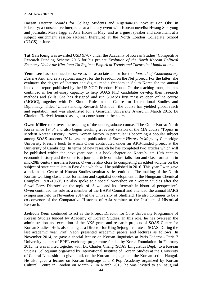Daesan Literary Awards for College Students and Nigerian/UK novelist Ben Okri in February; a consecutive interpreter at a literary event with Korean novelist Hwang Sok-yong and journalist Maya Jaggi at Asia House in May; and as a guest speaker and consultant at a subject enrichment session (Korean literature) at the North London Collegiate School (NLCS) in June.

**Tat Yan Kong** was awarded USD 9,707 under the Academy of Korean Studies' Competitive Research Funding Scheme 2015 for his project *Evolution of the North Korean Political Economy Under the Kim Jong-Un Regime: Empirical Trends and Theoretical Implications*.

**Yenn Lee** has continued to serve as an associate editor for the *Journal of Contemporary Eastern Asia* and as a regional analyst for the Freedom on the Net project. For the latter, she evaluates the degree of Internet and digital media freedom in South Korea for the annual index and report published by the US NGO Freedom House. On the teaching front, she has continued in her advisory capacity to help SOAS PhD candidates develop their research methods and skills. She has designed and run SOAS's first massive open online course (MOOC), together with Dr Simon Rofe in the Centre for International Studies and Diplomacy. Titled 'Understanding Research Methods', the course has yielded global reach and reputation, and was shortlisted for a Guardian University Award in March 2015. Dr Charlotte Horlyck featured as a guest contributor in the course.

**Owen Miller** took over the teaching of the undergraduate course, 'The Other Korea: North Korea since 1945' and also begun teaching a revised version of the MA course 'Topics in Modern Korean History'. North Korean history in particular is becoming a popular subject among SOAS students. 2014 saw the publication of *Korean History in Maps* by Cambridge University Press, a book to which Owen contributed under an AKS-funded project at the University of Cambridge. In terms of new research he has completed two articles which will be published within the next year: one is a book chapter on Korea's late 19th century economic history and the other is a journal article on industrialisation and class formation in mid-20th century northern Korea. Owen is also close to completing an edited volume on the subject of state capitalism in East Asia which will be published in 2016. This year Owen gave a talk in the Centre of Korean Studies seminar series entitled: 'The making of the North Korean working class: class formation and capitalist development at the Hungnam Chemical Complex, 1930-1960'. He also spoke at a special workshop on 'Korean Studies after the Sewol Ferry Disaster' on the topic of 'Sewol and its aftermath in historical perspective'. Owen continued his role as a member of the BAKS Council and attended the annual BAKS symposium held in November 2014 at the University of Sheffield. He also continues to be a co-convenor of the Comparative Histories of Asia seminar at the Institute of Historical Research.

**Jaehoon Yeon** continued to act as the Project Director for Core University Programme of Korean Studies funded by Academy of Korean Studies. In this role, he has overseen the administration and execution of the AKS grant and research projects of SOAS Centre for Korean Studies. He is also acting as a Director for King Sejong Institute at SOAS. During the last academic year Prof. Yeon presented academic papers and lectures as follows. In November 2014, he gave a special lecture on Korean linguistics at Paris Diderot - Paris 7 University as part of EPEL exchange programme funded by Korea Foundation. In February 2015, he was invited together with Dr. Charles Chang (SOAS Linguistics Dept.) to a Korean Studies Colloquium organized by International Institute of Korean Studies at the University of Central Lancashire to give a talk on the Korean language and the Korean script, Hangul. He also gave a lecture on Korean language at a K-Pop Academy organized by Korean Cultural Centre in London on March 2. In March 2015, he was invited to an inaugural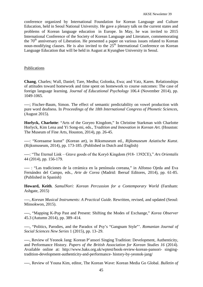conference organized by International Foundation for Korean Language and Culture Education, held in Seoul National University. He gave a plenary talk on the current states and problems of Korean language education in Europe. In May, he was invited to 2015 International Conference of the Society of Korean Language and Literature, commemorating the  $70<sup>th</sup>$  anniversary of Liberation. He presented a paper on various issues related to Korean noun-modifying clauses. He is also invited to the  $25<sup>th</sup>$  International Conference on Korean Language Education that will be held in August at Kyunghee University in Seoul.

### Publications

**Chang**, Charles; Wall, Daniel; Tare, Medha; Golonka, Ewa; and Vatz, Karen. Relationships of attitudes toward homework and time spent on homework to course outcomes: The case of foreign language learning. *Journal of Educational Psychology* 106.4 (November 2014), pp. 1049-1065.

----; Fischer-Baum, Simon. The effect of semantic predictability on vowel production with pure word deafness. In *Proceedings of the 18th International Congress of Phonetic Sciences,* (August 2015).

**Horlyck, Charlotte**: "Arts of the Goryeo Kingdom," In Christine Starkman with Charlotte Horlyck, Kim Lena and Yi Song-mi, eds., T*radition and Innovation in Korean Art.* (Houston: The Museum of Fine Arts, Houston, 2014), pp. 26-45.

----: "Koreaanse kunst" (Korean art), in Riksmuseum ed., *Rijksmuseum Aziatische Kunst*. (Rijksmuseum, 2014), pp. 173-185. (Published in Dutch and English)

----: "The Eternal Link – Grave goods of the Koryŏ Kingdom (918- 1392CE)," *Ars Orientalis* 44 (2014), pp. 156-179.

---- : "Las tradiciones de la cerámica en la península coreana," in Alfonso Ojeda and Eva Fernández del Campo, eds., *Arte de Corea* (Madrid: Ibersaf Editores, 2014), pp. 61-85. (Published in Spanish)

**Howard, Keith**. *SamulNori: Korean Percussion for a Contemporary World* (Farnham: Ashgate, 2015)

----, *Korean Musical Instruments: A Practical Guide.* Rewritten, revised, and updated (Seoul: Minsokwon, 2015).

----, "Mapping K-Pop Past and Present: Shifting the Modes of Exchange," *Korea Observer* 45.3 (Autumn 2014), pp. 389–414.

----, "Politics, Parodies, and the Paradox of Psy's "Gangnam Style"'. *Romanian Journal of Social Sciences New Series* 1 (2015), pp. 13–29.

----, Review of Yeonok Jang: Korean P'ansori Singing Tradition: Development, Authenticity, and Performance History. *Papers of the British Association for Korean Studies 16* (2014). Available online at: http://www.baks.org.uk/wptest/book-review-korean-pansori- singingtradition-development-authenticity-and-performance- history-by-yeonok-jang/

----, Review of Youna Kim, editor, The Korean Wave: Korean Media Go Global. *Bulletin of*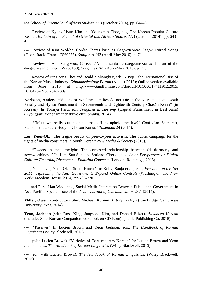*the School of Oriental and African Studies* 77.3 (October 2014), pp. 644–6.

----, Review of Kyung Hyun Kim and Youngmin Choe, eds, The Korean Popular Culture Reader. *Bulletin of the School of Oriental and African Studies* 77.3 (October 2014), pp. 643– 4.

----, Review of Kim Wol-ha, Corée: Chants lyriques Gagok/Korea: Gagok Lyircal Songs (Ocora Radio France C560255). *Songlines 107* (April-May 2015). p. 71.

----, Review of Ahn Sung-woo, Corée: L'Art du sanjo de daegeum/Korea: The art of the daegeum sanjo (Inedit W260150). *Songlines 107* (April-May 2015), p. 71.

----, Review of JungBong Choi and Roald Maliangkay, eds, K-Pop – the International Rise of the Korean Music Industry. *Ethnomusicology Forum* (August 2015); Online version available from June 2015 at http://www.tandfonline.com/doi/full/10.1080/17411912.2015. 1050428#.VbD7b4tN38s.

**Karlsson, Anders.** "'Scions of Wealthy Families do not Die at the Market Place': Death Penalty and Hyosu Punishment in Seventeenth and Eighteenth Century Chosŏn Korea" (in Korean). In Tomiya Itaru, ed., *Tongasia ŭi sahyŏng* (Capital Punishment in East Asia) (Kyŏngsan: Yŏngnam taehakkyo ch'ulp'anbu, 2014)

----, "'Must we really cut people's toes off to uphold the law?' Confucian Statecraft, Punishment and the Body in Chosŏn Korea." *Tasanhak* 24 (2014).

**Lee, Yeon-Ok**. "The fragile beauty of peer-to-peer activism: The public campaign for the rights of media consumers in South Korea." *New Media & Society* (2015).

---. "Tweets in the limelight: The contested relationship between (dis)harmony and newsworthiness." In: Lim, Sun Sun and Soriano, Cheryll, eds., *Asian Perspectives on Digital Culture: Emerging Phenomena, Enduring Concepts* (London: Routledge, 2015).

Lee, Yenn [Lee, Yeon-Ok]. 'South Korea.' In: Kelly, Sanja et al., eds., *Freedom on the Net 2014: Tightening the Net: Governments Expand Online Controls* (Washington and New York: Freedom House. 2014), pp.706-720.

---- and Park, Han Woo, eds., Social Media Interaction Between Public and Government in Asia-Pacific. Special issue of the *Asian Journal of Communication* 24.1 (2014).

**Miller, Owen** (contributor). Shin, Michael. *Korean History in Maps* (Cambridge: Cambridge University Press, 2014).

**Yeon, Jaehoon** (with Ross King, Jungsook Kim, and Donald Baker). *Advanced Korean* (includes Sino-Korean Companion workbook on CD-Rom). (Tuttle Publishing Co, 2015).

----. "Passives" In Lucien Brown and Yeon Jaehoon, eds., *The Handbook of Korean Linguistics* (Wiley Blackwell, 2015).

----, (with Lucien Brown). "Varieties of Contemporary Korean" In: Lucien Brown and Yeon Jaehoon, eds., *The Handbook of Korean Linguistics* (Wiley Blackwell, 2015).

----, ed. (with Lucien Brown). *The Handbook of Korean Linguistics.* (Wiley Blackwell, 2015).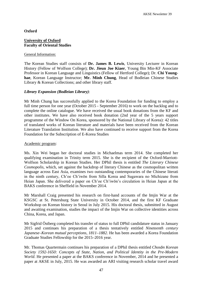# **Oxford**

# **University of Oxford Faculty of Oriental Studies**

#### General Information:

The Korean Studies staff consists of **Dr. James B. Lewis**, University Lecturer in Korean History (Fellow of Wolfson College); **Dr. Jieun Joe Kiaer**, Young Bin Min-KF Associate Professor in Korean Language and Linguistics (Fellow of Hertford College); Dr. **Chi Younghae**, Korean Language Instructor; **Mr. Minh Chung**, Head of Bodleian Chinese Studies Library & Korean Collections; and other library staff.

# *Library Expansion (Bodleian Library)*:

Mr Minh Chung has successfully applied to the Korea Foundation for funding to employ a full time person for one year (October 2015 - September 2016) to work on the backlog and to complete the online catalogue. We have received the usual book donations from the KF and other institutes. We have also received book donation (2nd year of the 5 years support programme of the Window On Korea, sponsored by the National Library of Korea): 42 titles of translated works of Korean literature and materials have been received from the Korean Literature Translation Institution. We also have continued to receive support from the Korea Foundation for the Subscription of E-Korea Studies

### Academic program:

Ms. Xin Wei began her doctoral studies in Michaelmas term 2014. She completed her qualifying examination in Trinity term 2015. She is the recipient of the Oxford-Marriott-Wolfson Scholarship in Korean Studies. Her DPhil thesis is entitled *The Literary Chinese Cosmopolis*, which, set against the backdrop of literary Chinese as the cosmopolitan written language across East Asia, examines two outstanding contemporaries of the Chinese literati in the ninth century, Ch'oe Ch'iwŏn from Silla Korea and Sugawara no Michizane from Heian Japan. She delivered a paper on Ch'oe Ch'iwŏn's circulation in Heian Japan at the BAKS conference in Sheffield in November 2014.

Mr Marshall Craig presented his research on first-hand accounts of the Imjin War at the KSGSC at St. Petersburg State University in October 2014, and the first KF Graduate Workshop on Korean history in Seoul in July 2015. His doctoral thesis, submitted in August and awaiting examination, studies the impact of the Imjin War on collective identities across China, Korea, and Japan.

Mr Sigfrid Östberg completed his transfer of status to full DPhil candidature status in January 2015 and continues his preparation of a thesis tentatively entitled *Nineteenth century Japanese–Korean mutual perceptions, 1811–1882*. He has been awarded a Korea Foundation Graduate Studies Fellowship for the 2015–2016 year.

Mr. Thomas Quartermain continues his preparation of a DPhil thesis entitled *Chosŏn Korean Society 1592-1650: Concepts of State, Nation, and Political Identity in the Pre-Modern World*. He presented a paper at the BAKS conference in November, 2014 and he presented a paper at AKSE in July, 2015. He was awarded an ARI visiting research scholar travel award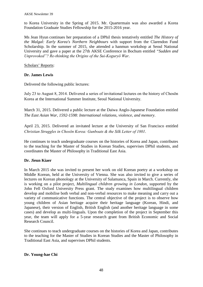to Korea University in the Spring of 2015. Mr. Quartermain was also awarded a Korea Foundation Graduate Studies Fellowship for the 2015-2016 year.

Ms Jean Hyun continues her preparation of a DPhil thesis tentatively entitled *The History of the Malgal: Early Korea's Northern Neighbours* with support from the Clarendon Fund Scholarship. In the summer of 2015, she attended a hanmun workshop at Seoul National University and gave a paper at the 27th AKSE Conference in Bochum entitled *"Sudden and Unprovoked"? Re-thinking the Origins of the Sui-Koguryŏ War*.

# Scholars' Reports:

# **Dr. James Lewis**

Delivered the following public lectures:

July 23 to August 8, 2014. Delivered a series of invitational lectures on the history of Chosŏn Korea at the International Summer Institute, Seoul National University.

March 31, 2015. Delivered a public lecture at the Daiwa Anglo-Japanese Foundation entitled *The East Asian War, 1592-1598: International relations, violence, and memory*.

April 23, 2015. Delivered an invitated lecture at the University of San Francisco entitled *Christian Struggles in Chosŏn Korea: Gunboats & the Silk Letter of 1801*.

He continues to teach undergraduate courses on the histories of Korea and Japan, contributes to the teaching for the Master of Studies in Korean Studies, supervises DPhil students, and coordinates the Master of Philosophy in Traditional East Asia.

# **Dr. Jieun Kiaer**

In March 2015 she was invited to present her work on old Korean poetry at a workshop on Middle Korean, held at the University of Vienna. She was also invited to give a series of lectures on Korean phonology at the University of Salamanca, Spain in March. Currently, she is working on a pilot project, *Multilingual children growing in London*, supported by the John Fell Oxford University Press grant. The study examines how multilingual children develop and mobilise both verbal and non-verbal resources to make meaning and carry out a variety of communicative functions. The central objective of the project is to observe how young children of Asian heritage acquire their heritage language (Korean, Hindi, and Japanese), their version of English, British English (and another heritage language in some cases) and develop as multi-linguals. Upon the completion of the project in September this year, the team will apply for a 5-year research grant from British Economic and Social Research Council.

She continues to teach undergraduate courses on the histories of Korea and Japan, contributes to the teaching for the Master of Studies in Korean Studies and the Master of Philosophy in Traditional East Asia, and supervises DPhil students.

### **Dr. Young-hae Chi**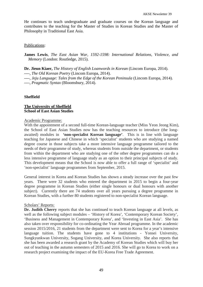He continues to teach undergraduate and graduate courses on the Korean language and contributes to the teaching for the Master of Studies in Korean Studies and the Master of Philosophy in Traditional East Asia.

# Publications:

**James Lewis**, *The East Asian War, 1592-1598: International Relations, Violence, and Memory* (London: Routledge, 2015).

**Dr. Jieun Kiaer,** *The History of English Loanwords in Korean* (Lincom Europa, 2014). *----, The Old Korean Poetry* (Lincom Europa, 2014).

*----, Jeju Language: Tales from the Edge of the Korean Peninsula* (Lincom Europa, 2014). *----, Pragmatic Syntax* (Bloomsbury, 2014).

# **Sheffield**

# **The University of Sheffield School of East Asian Studies**

### Academic Programme:

With the appointment of a second full-time Korean-language teacher (Miss Yeon Jeong Kim), the School of East Asian Studies now has the teaching resources to introduce (the longawaited) modules in **'non-specialist Korean language'**. This is in line with language teaching for Japanese and Chinese in which 'specialist' students who are studying a named degree course in those subjects take a more intensive language programme tailored to the needs of their programme of study, whereas students from outside the department, or students from within the department who are studying one of the other degree programmes can do a less intensive programme of language study as an option to their principal subjects of study. This development means that the School is now able to offer a full range of 'specialist' and 'non-specialist' language programmes from September, 2015.

General interest in Korea and Korean Studies has shown a steady increase over the past few years. There were 32 students who entered the department in 2015 to begin a four-year degree programme in Korean Studies (either single honours or dual honours with another subject). Currently there are 74 students over all years pursuing a degree programme in Korean Studies, with a further 80 students registered to non-specialist Korean language.

### Scholars' Reports:

**Dr. Judith Cherry** reports that she has continued to teach Korean language at all levels, as well as the following subject modules – 'History of Korea', 'Contemporary Korean Society', 'Business and Management in Contemporary Korea', and 'Investing in East Asia'. She has also taken over responsibility for co-ordinating the Year Abroad programme. In the academic session 2015/2016, 21 students from the department were sent to Korea for a year's intensive language tuition. The students have gone to 4 institutions - Yonsei University, Sungkyunkwan University, Sogang University, and Korea University. She also reports that she has been awarded a research grant by the Academy of Korean Studies which will buy her out of teaching in the autumn semesters of 2015 and 2016. She will go to Korea to work on a research project examining the impact of the EU-Korea Free Trade Agreement.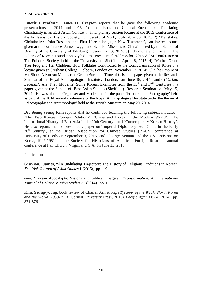**Emeritus Professor James H. Grayson** reports that he gave the following academic presentations in 2014 and 2015 -1) 'John Ross and Cultural Encounter: Translating Christianity in an East Asian Context', final plenary session lecture at the 2015 Conference of the Ecclesiastical History Society, University of York, July 28 – 30, 2015; 2) 'Translating Christianity: John Ross and the First Korean-language New Testament', an invited lecture given at the conference 'James Legge and Scottish Missions to China' hosted by the School of Divinity of the University of Edinburgh, June 11- 13, 2015; 3) 'Chumong and Tan'gun: The Politics of Korean Foundation Myths', the Presidential Address for 2015 AGM Conference of The Folklore Society, held at the University of Sheffield, April 18, 2015; 4) 'Mother Green Tree Frog and Her Children: How Folktales Contributed to the Confucianisation of Korea', a lecture given at Gresham College, Holborn, London on November 13, 2014; 5) 'The Empire of Mt. Sion: A Korean Millenarian Group Born in a Time of Crisis', a paper given at the Research Seminar of the Royal Anthropological Institute, London, on June 18, 2014; and 6) '*Urban Legends*', Are They Modern?: Some Korean Examples from the 15<sup>th</sup> and 17<sup>th</sup> Centuries', a paper given at the School of East Asian Studies (Sheffield) Research Seminar on May 15, 2014. He was also the Organiser and Moderator for the panel 'Folklore and Photography' held as part of the 2014 annual conference of the Royal Anthropological Institute under the theme of 'Photography and Anthropology' held at the British Museum on May 29, 2014.

**Dr. Seung-young Kim** reports that he continued teaching the following subject modules - 'The Two Koreas' Foreign Relations', 'China and Korea in the Modern World', 'The International History of East Asia in the 20th Century', and 'Contemporary Korean History'. He also reports that he presented a paper on 'Imperial Diplomacy over China in the Early  $20<sup>th</sup>$  Century', at the British Association for Chinese Studies (BACS) conference at University of Leeds on September 3, 2015, and 'George Kennan and the US Decisions on Korea, 1947-1951' at the Society for Historians of American Foreign Relations annual conference at Fall Church, Virginia, U.S.A. on June 23, 2015.

Publications:

**Grayson, James,** "An Undulating Trajectory: The History of Religious Traditions in Korea", *The Irish Journal of Asian Studies* 1 (2015), pp. 1-9.

-----, "Korean Apocalyptic Visions and Biblical Imagery", *Transformation: An International Journal of Holistic Mission Studies* 31 (2014), pp. 1-11.

**Kim, Seung-young**, book review of Charles Armstrong's *Tyranny of the Weak: North Korea and the World, 1950-1991* (Cornell University Press, 2013), *Pacific Affairs* 87.4 (2014), pp. 874-876.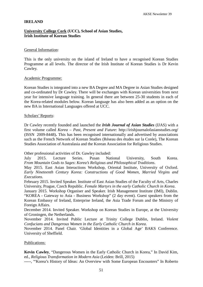# **IRELAND**

# **University College Cork (UCC), School of Asian Studies, Irish Institute of Korean Studies**

### General Information:

This is the only university on the island of Ireland to have a recognised Korean Studies Programme at all levels. The director of the Irish Institute of Korean Studies is Dr Kevin Cawley.

#### Academic Programme:

Korean Studies is integrated into a new BA Degree and MA Degree in Asian Studies designed and co-ordinated by Dr Cawley. There will be exchanges with Korean universities from next year for intensive language training. In general there are between 25-30 students in each of the Korea-related modules below. Korean language has also been added as an option on the new BA in International Languages offered at UCC.

#### Scholars' Reports:

Dr Cawley recently founded and launched the *Irish Journal of Asian Studies* (IJAS) with a first volume called *Korea – Past, Present and Future*: http://irishjournalofasianstudies.org**/** (ISSN 2009-8448)**.** This has been recognised internationally and advertised by associations such as the French Network of Korean Studies (Réseau des études sur la Corée), The Korean Studies Association of Australasia and the Korean Association for Religious Studies.

Other professional activities of Dr. Gawley included:

July 2015. Lecture Series. Pusan National University, South Korea. *From Mountain Gods to Sages*: *Korea's Religious and Philosophical Traditions*.

May 2015. East Asian Interactions Workshop, Oriental Institute, University of Oxford. *Early Nineteenth Century Korea: Constructions of Good Women, Married Virgins and Executions*.

February 2015. Invited Speaker. Institute of East Asian Studies of the Faculty of Arts, Charles University, Prague, Czech Republic. *Female Martyrs in the early Catholic Church in Korea*.

January 2015. Workshop Organiser and Speaker. Irish Management Institute (IMI), Dublin. "KOREA - Gateway to Asia - Business Workshop" (2 day event). Guest speakers from the Korean Embassy of Ireland, Enterprise Ireland, the Asia Trade Forum and the Ministry of Foreign Affairs.

December 2014. Invited Speaker. Workshop on Korean Studies in Europe, at the University of Groningen, the Netherlands.

November 2014. Invited Public Lecture at Trinity College Dublin, Ireland. *Violent Confucians and Dangerous Women in the Early Catholic Church in Korea*.

November 2014. Panel Chair. 'Global Identities in a Global Age' BAKS Conference. University of Sheffield.

### Publications:

**Kevin Cawley**, "Dangerous Women in the Early Catholic Church in Korea," In David Kim, ed., *Religious Transformation in Modern Asia* (Leiden: Brill, 2015)

-----, '"Korea's History of Ideas: An Overview with Some European Encounters" In Roberto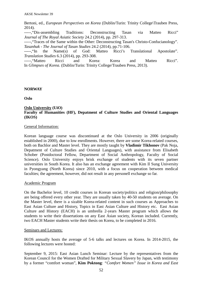Bertoni, ed., *European Perspectives on Korea* (Dublin/Turin: Trinity College\Trauben Press, 2014).

-----,"Dis-assembling Traditions: Deconstructing Tasan via Matteo Ricci" *Journal of The Royal Asiatic Society* 24.2 (2014), pp. 297-313.

-----,"Traces of the Same within the Other: Deconstructing Tasan's Christo-Confucianology". *Tasanhak - The Journal of Tasan Studies* 24.2 (2014), pp.71-106.

-----,"In the Name(s) of God: Matteo Ricci's Translational Apostolate". *Translation Studies* 6.3 (2014), pp. 293-308.

-----,"Matteo Ricci and Korea: Korea and Matteo Ricci". In *Glimpses of Korea*. (Dublin/Turin: Trinity College/Trauben Press, 2013).

# **NORWAY**

**Oslo**

# **Oslo University (UiO)**

# **Faculty of Humanities (HF), Depatment of Culture Studies and Oriental Languages (IKOS)**

# General Information:

Korean language course was discontinued at the Oslo University in 2006 (originally established in 2000), due to low enrollments. However, there are some Korea-related courses, both on Bachlor and Master level. They are mostly taught by **Vladimir Tikhonov** (Pak Noja, Depatment of Culture Studies and Oriental Languages), with assistance from Elisabeth Schober (Postdoctoral Fellow, Department of Social Anthropology, Faculty of Social Science). Oslo University enjoys brisk exchange of students with its seven partner universities in South Korea. It also has an exchange agreement with Kim Il Sung University in Pyongyang (North Korea) since 2010, with a focus on cooperation between medical faculties; the agreement, however, did not result in any personell exchange so far.

### Academic Program

On the Bachelor level, 10 credit courses in Korean society/politics and religion/philosophy are being offered every other year. They are usually taken by 40-50 students on average. On the Master level, there is a sizable Korea-related content in such courses as Approaches to East Asian Culture and History, Topics in East Asian Culture and History etc. East Asian Culture and History (EACH) is an umbrella 2-years Master program which allows the students to write their dissertations on any East Asian society, Korean included. Currently, two EACH Master students write their thesis on Korea, to be completed in 2016.

### Seminars and Lectures:

IKOS annually hosts the average of 5-6 talks and lectures on Korea. In 2014-2015, the following lectures were hosted:

September 9, 2015: East Asian Lunch Seminar: Lecture by the representatives from the Korean Council for the Women Drafted for Military Sexual Slavery by Japan, with testimony by a former "comfort woman", **Kim Poktong**: *"Comfort Women" Issue in Korea and East*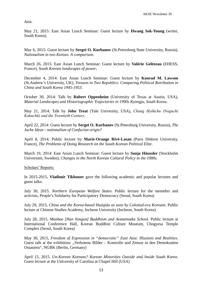*Asia*.

May 21, 2015: East Asian Lunch Seminar: Guest lecture by **Hwang Sok-Young** (writer, South Korea).

May 6, 2015: Guest lecture by **Sergei O. Kurbanov** (St.Petersburg State University, Russia), *Nationalism in two Koreas: A comparison.*

March 26, 2015: East Asian Lunch Seminar: Guest lecture by **Valérie Gelézeau** (EHESS, France), *South Korean landscapes of power***.**

December 4, 2014: East Asian Lunch Seminar: Guest lecture by **Konrad M. Lawson** (St.Andrew's University, UK), *Treason in Two Republics: Comparing Political Retribution in China and South Korea 1945-1953*.

October 30, 2014: Talk by **Robert Oppenheim** (University of Texas at Austin, USA), *Material Landscapes and Historiographic Trajectories in 1990s Kyongju, South Korea*.

May 21, 2014: Talk by **John Treat** (Yale University, USA), *Chang Hyŏkchu (Noguchi Kakuchū) and the Twentieth Century*.

April 22, 2014: Guest lecture by **Sergei O. Kurbanov** (St.Petersburg University, Russia), *The Juche Ideas - nationalism of Confucian origin?*

April 8, 2014: Public lecture by **Marie-Orange Rivé-Lasan** (Paris Diderot University, France), *The Problems of Doing Research on the South Korean Political Elite.*

March 19, 2014: East Asian Lunch Seminar: Guest lecture by **Sonja Häussler** (Stockholm Universitet, Sweden), *Changes in the North Korean Cultural Policy in the 1980s.*

Scholars' Reports:

In 2015-2015, **Vladimir Tikhonov** gave the following academic and popular lectures and guest talks:

July 30, 2015. *Northern European Welfare States*. Public lecture for the memebrs and activists, People's Solidarity for Participatory Democracy (Seoul, South Korea)

July 29, 2015, *China and the Korea-based Huáqiáo as seen by Colonial-era Koreans*. Public lecture at Chinese Studies Academy, Incheon University (Incheon, South Korea)

July 28, 2015. *Manhae [Han Yongun] Buddhism and Avatamsaka School*. Public lecture at International Conference Hall, Korean Buddhist Culture Museum, Chogyesa Temple Complex (Seoul, South Korea)

May 30, 2015, *Freedom of Expression in "democratic" East Asia: Illusions and Realities*. Guest talk at the exhibition: "Verbotene Bilder – Kontrolle und Zensur in den Demokratien Ostasiens", NGBK (Berlin, Germany)

April 15, 2015. *Un-Korean Koreans? Korean Minorities Outside and Inside South Korea*. Guest lecture at the University of Carolina at Chapel Hill (USA)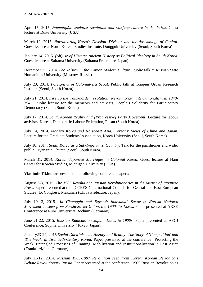April 15, 2015. *Namminjŏn: socialist revolution and Minjung culture in the 1970s*. Guest lecture at Duke University (USA)

March 12, 2015, *Narrativizing Korea's Division. Division and the Assemblage of Capital*. Guest lecture at North Korean Studies Institute, Dongguk University (Seoul, South Korea)

January 14, 2015. *(Ab)use of History: Ancient History as Political Ideology in South Korea*. Guest lecture at Saitama University (Saitama Prefecture, Japan)

December 22, 2014. *Leo Tolstoy in the Korean Modern Culture*. Public talk at Russian State Humanities University (Moscow, Russia)

July 23, 2014. *Foreigners in Colonial-era Seoul*. Public talk at Tongeui Urban Research Institute (Seoul, South Korea)

July 21, 2014. *Fire up the trans-border revolution! Revolutionary internationalism in 1848- 1945*. Public lecture for the memebrs and activists, People's Solidarity for Participatory Democracy (Seoul, South Korea)

July 17, 2014. *South Korean Reality and [Progressive] Party Movement*. Lecture for labour activists, Korean Democratic Labour Federation, Pusan (South Korea).

July 14, 2014. *Modern Korea and Northeast Asia: Koreans' Views of China and Japan*. Lecture for the Graduate Students'Association, Korea University (Seoul, South Korea)

July 10, 2014. *South Korea as a Sub-Imperialist Country*. Talk for the parishioner and wider public, Hyangnin Church (Seoul, South Korea).

March 31, 2014. *Korean-Japanese Marriages in Colonial Korea*. Guest lecture at Nam Center for Korean Studies, Michigan University (USA).

**Vladimir Tikhonov** presented the following conference papers:

August 3-8, 2015. *The 1905 Revolution: Russian Revolutionaries in the Mirror of Japanese Press*. Paper presented at the ICCEES (International Council for Central and East European Studies) IX Congress, Makuhari (Chiba Prefecure, Japan).

July 10-13, 2015. *An Chunggŭn and Beyond: Individual Terror in Korean National Movement as seen from Russia/Soviet Union, the 1900s to 1930s*. Paper presented at AKSE Conference at Ruhr Universitat Bochum (Germany).

June 21-22, 2015. *Russian Radicals on Japan, 1880s to 1900s*. Paper presented at ASCJ Conference, Sophia University (Tokyo, Japan).

January23-24, 2015 *Social Darwinism as History and Reality: The Story of 'Competition' and 'The Weak' in Twentieth-Century Korea*. Paper presented at the conference "Protecting the Weak. Entangled Processes of Framing, Mobilization and Institutionalization in East Asia" (Frankfur/Main, Germany).

July 11-12, 2014. *Russian 1905-1907 Revolution seen from Korea: Korean Periodicals Debate Revolutionary Russia*. Paper presented at the conference "1905 Russian Revolution as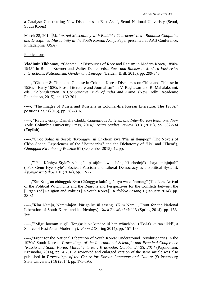a Catalyst: Constructing New Discourses in East Asia", Seoul National Univeristy (Seoul, South Korea)

March 28, 2014. *Militarized Masculinity with Buddhist Characteristics - Buddhist Chaplains and Disciplined Masculinity in the South Korean Army*. Paper presented at AAS Conference, Philadelphia (USA)

Publications:

**Vladimir Tikhonov,** "Chapter 11: Discourses of Race and Racism in Modern Korea, 1890s-1945" In Rotem Kowner and Walter Demel, eds., *Race and Racism in Modern East Asia: Interactions, Nationalism, Gender and Lineage* (Leiden: Brill, 2015), pp. 299-343

-----, "Chapter 8: China and Chinese in Colonial Korea: Discourses on China and Chinese in 1920s - Early 1930s Prose Literature and Journalism" In V. Raghavan and R. Mahalakshmi, eds., *Colonialisation: A Comparative Study of India and Korea*. (New Delhi: Academic Foundation, 2015), pp. 169-201.

-----, "The Images of Russia and Russians in Colonial-Era Korean Literature: The 1930s," *positions* 23.2 (2015), pp. 287-316.

-----, "Review essay: Danielle Chubb, *Contentious Activism and Inter-Korean Relations*. New York: Columbia University Press, 2014," *Asian Studies Review* 39.3 (2015), pp. 532-534 (English).

-----,"Ch'oe Sŏhae ŭi Sosŏl: 'Kyŏnggye' ŭi Ch'ehŏm kwa 'P'ia' ŭi Ibunpŏp" (The Novels of Ch'oe Sŏhae: Experiences of the "Boundaries" and the Dichotomy of "Us" and "Them"), *Chungguk Kwanhaeng Webzine* 61 (September 2015), 12 pp.

-----,""Pak Kŭnhye Style": sahoejŏk p'asijŭm kwa chŏngch'i chedojŏk chayu minjujuŭi" ("Pak Geun Hye Style": Societal Fascism and Liberal Democracy as a Political System), *Kyŏngje wa Sahoe* 101 (2014), pp. 12-27.

-----,"Sin Kong'an chŏngguk Kwa Chŏnggyo kaltŭng ŭi iyu wa chŏnmang" (The New Arrival of the Political Witchhunts and the Reasons and Perspectives for the Conflicts between the [Organized] Religion and Politics [in South Korea]), *Kidokkyo Sasang* 1 (January 2014), pp. 28-31

-----,"Kim Namju, Namminjŏn, kŭrigo kŭ ŭi sasang" (Kim Namju, Front for the National Liberation of South Korea and its Ideology), *Silch'ŏn Munhak* 113 (Spring 2014), pp. 153- 166

-----,""Migu hoeram silgi", Tong'asiajŏk kŭndae ŭi han wŏnch'ŏn" ("Bei-Ō kairan jikki", a Source of East Asian Modernity), *Boon* 2 (Spring 2014), pp. 157-163.

-----,"Front for the National Liberation of South Korea: Underground Revolutionaries in the 1970s' South Korea," *Proceedings of the International Scientific and Practical Conference "Russia and South Korea: Mutual Interest". Krasnodar, October 24-25, 2014* (Papabellum: Krasnodar, 2014), pp. 41-51. A reworked and enlarged version of the same article was also published in *Proceedings of the Centre for Korean Language and Culture* (St-Petersburg State University) 16 (2014), pp. 175-195.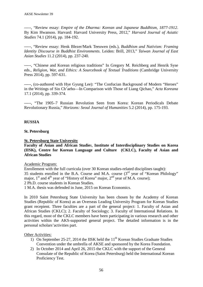-----, "Review essay: *Empire of the Dharma: Korean and Japanese Buddhism, 1877-1912*. By Kim Hwansoo. Harvard: Harvard University Press, 2012," *Harvard Journal of Asiatic Studies* 74.1 (2014), pp. 184-192.

-----, "Review essay: Henk Blezer/Mark Teeuwen (eds.), *Buddhism and Nativism: Framing Identity Discourse in Buddhist Environments*. Leiden: Brill, 2013," *Taiwan Journal of East Asian Studies* 11.2 (2014), pp. 237-240.

-----, "Chinese and Korean religious traditions" In Gregory M. Reichberg and Henrik Syse eds., *Religion, War, and Ethics: A Sourcebook of Textual Traditions* (Cambridge University Press 2014), pp. 597-631.

-----, (co-authored with Hye Gyung Lee): "The Confucian Background of Modern "Heroes" in the Writings of Sin Ch'aeho—In Comparison with Those of Liang Qichao," *Acta Koreana* 17.1 (2014), pp. 339-374.

-----, "The 1905–7 Russian Revolution Seen from Korea: Korean Periodicals Debate Revolutionary Russia," *Horizons: Seoul Journal of Humanities* 5.2 (2014), pp. 175-193.

# **RUSSIA**

### **St. Petersburg**

#### **St. Petersburg State University**

**Faculty of Asian and African Studie**s, **Institute of Interdisciplinary Studies on Korea (IISK), Centre for Korean Language and Culture (CKLC), Faculty of Asian and African Studies**

#### Academic Program:

Enrollement with the full curricula (over 30 Korean studies-related disciplines taught): 35 students enrolled in the B.A. Course and M.A. course  $(3<sup>rd</sup>$  year of "Korean Philology" major,  $1<sup>st</sup>$  and  $4<sup>th</sup>$  year of "History of Korea" major,  $2<sup>nd</sup>$  year of M.A. course); 2 Ph.D. course students in Korean Studies.

1 M.A. thesis was defended in June, 2015 on Korean Economics.

In 2010 Saint Petersburg State University has been chosen by the Academy of Korean Studies (Republic of Korea) as an Overseas Leading University Program for Korean Studies grant recepient. Three faculties are a part of the general project: 1. Faculty of Asian and African Studies (CKLC); 2. Faculty of Sociology; 3. Faculty of International Relations. In this regard, most of the CKLC members have been participating in various research and other activities within the AKS-supported general project. The detailed information is in the personal scholars'activities part.

### Other Activities:

- 1) On September 25-27, 2014 the IISK held the  $11<sup>th</sup>$  Korean Studies Graduate Studies Convention under the umbrella of AKSE and sponsored by the Korea Foundation.
- 2) In October 2014 and April 26, 2015 the CKLC with the support of the General Consulate of the Republic of Korea (Saint Petersburg) held the International Korean Proficiency Test.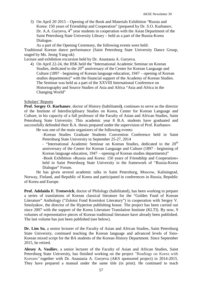3) On April 20, 2015 – Opening of the Book and Materials Exhibition "Russia and Korea: 150 years of Friendship and Cooperation" (prepared by Dr. S.O. Kurbanov, Dr. A.A. Guryeva,  $4<sup>th</sup>$  year students in cooperation with the Asian Department of the Saint Petersburg State University Library – held as a part of the Russia-Korea Dialogue.

As a part of the Opening Ceremony, the following events were held:

Traditional Korean dance performance (Saint Petersburg State University Dance Group, staged by Ms. Jeong Yang-ok)

Lecture and exhibition excursion held by Dr. Anastasia A. Guryeva.

4) On April 22-24, the IISK held the "International Academic Seminar on Korean Studies, dedicated to the 20<sup>th</sup> anniversary of the Center for Korean Language and Culture (1897 - beginning of Korean language education, 1947 – opening of Korean studies departments)" with the financial support of the Academy of Korean Studies. The Seminar was held as a part of the XXVIII International Conference on Historiography and Source Studies of Asia and Africa "Asia and Africa in the Changing World"

#### Scholars' Reports

**Prof. Sergey O. Kurbanov**, doctor of History (habilitated**)**, continues to serve as the director of the Institute of Interdisciplinary Studies on Korea, Center for Korean Language and Culture, in his capacity of a full professor of the Faculty of Asian and African Studies, Saint Petersburg State University. This academic year 8 B.A. students have graduated and successfully defended their B.A. thesis prepared under the supervision of Prof. Kurbanov.

He was one of the main organizers of the following events:

-Korean Studies Graduate Students Convention Conference held in Saint Petersburg State University in September 25-27, 2014

- "International Academic Seminar on Korean Studies, dedicated to the  $20<sup>th</sup>$ anniversary of the Center for Korean Language and Culture (1897 - beginning of Korean language education, 1947 – opening of Korean studies departments)"

-Book Exhibition «Russia and Korea: 150 years of Friendship and Cooperation» held in Saint Petersburg State University in the framework of "Russia-Korea Dialogue" Forum.

He has given several academic talks in Saint Petersburg, Moscow, Kaliningrad, Norway, Finland, and Republic of Korea and participated in conferences in Russia, Republic of Korea and Europe.

**Prof. Adelaida F. Trotsevich**, doctor of Philology (habilitated), has been working to prepare a series of translations of Korean classical literature for the "Golden Fund of Korean Literature" Anthology ("Zolotoi Fond Koreiskoi Literatury") in cooperation with Sergey V. Smolyakov, the director of the Hyperion publishing house. The project has been carried out since 2007 with the support of the Korea Literature Translation Institute (KLTI). By now, 9 volumes of representative pieces of Korean traditional literature have already been published. The last volume has just been published (see below).

**Dr. Lim Su**, a senior lecturer of the Faculty of Asian and African Studies, Saint Petersburg State University, continued teaching the Korean language and advanced levels of Sino-Korean mixed script for the BA students of the Korean History Department. Since September 2015, he retired.

**Alexey A. Vasiliev**, a senior lecturer of the Faculty of Asian and African Studies, Saint Petersburg State University, has finished working on the project "Readings on Korea with Koreans*"* together with Dr. Anastasia A. Guryeva (AKS sponsored project) in 2014-2015. They have prepared a manual under the same title (in print). He continued to teach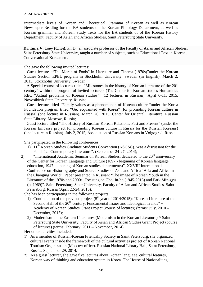intermediate levels of Korean and Theoretical Grammar of Korean as well as Korean Newspaper Reading for the BA students of the Korean Philology Department, as well as Korean grammar and Korean Study Texts for the BA students of of the Korean History Department, Faculty of Asian and African Studies, Saint Petersburg State University.

**Dr. Inna V. Tsoy (Choi)**, Ph.D., an associate professor of the Faculty of Asian and African Studies, Saint Petersburg State University, taught a number of subjects, such as Educational Text in Korean, Conversational Korean etc.

She gave the following invited lectures:

- Guest lecture ""The March of Fools" in Literature and Cinema (1970s)"under the Korean Studies Section EPEL program in Stockholm University, Sweden (in English). March 2, 2015, Stockholm University, Sweden;

 $-$  A Special course of lectures titled "Milestones in the history of Korean literature of the  $20<sup>th</sup>$ century" within the program of invited lecturers (The Center for Korean studies Humanities REC "Actual problems of Korean studies") (12 lectures in Russian). April 6-11, 2015, Novosibirsk State University, Russia;

- Guest lecture titled "Family values as a phenomenon of Korean culture "under the Korea Foundation program titled "Get acquainted with Korea" (for promoting Korean culture in Russia) (one lecture in Russian). March 26, 2015, Center for Oriental Literature, Russian State Library, Moscow, Russia;

- Guest lecture titled "The History of Russian-Korean Relations. Past and Present" (under the Korean Embassy project for promoting Korean culture in Russia for the Russian Koreans) (one lecture in Russian). July 2, 2015, Association of Russian Koreans in Volgograd, Russia.

She participated in the following conferences:

- 1) 11<sup>th</sup> Korean Studies Graduate Students Convention (KSGSC). Was a discussant for the Panel #2 "Contemporary Literature". (September 24-27, 2014);
- 2) "International Academic Seminar on Korean Studies, dedicated to the 20<sup>th</sup> anniversary of the Center for Korean Language and Culture (1897 - beginning of Korean language education, 1947 – opening of Korean studies departments)", XXVIII International Conference on Historiography and Source Studies of Asia and Africa "Asia and Africa in the Changing World". Paper presented in Russian: "The image of Korean Youth in the Literature of the 1970s and 2000s: Focusing on Choi In-ho (1945-2013) and Park Min-gyu (b. 1969)". Saint-Petersburg State University, Faculty of Asian and African Studies, Saint Petersburg, Russia (April 22-24, 2015).

She has been participating in the following projects:

- 1) Continuation of the previous project  $(5<sup>th</sup>$  year of 2014/2015): "Korean Literature of the Second Half of the  $20<sup>th</sup>$  century: Fundamental Issues and Ideological Trends" // Academy of Korean Studies Grant Project (course of lectures) (terms: July, 2010 – December, 2015);
- 2) Modernism in the Eastern Literatures (Modernism in the Korean Literature) // Saint-Petersburg State University, Faculty of Asian and African Studies Grant Project (course of lectures) (terms: February, 2011 – November, 2014).

Her other activities included:

- 1) As a member of Russian-Korean Friendship Society in Saint Petersburg, she organized cultural events inside the framework of the cultural activities project of Korean National Tourism Organization (Moscow office). Russian National Library Hall, Saint Petersburg, Russia. September 29, 2014;
- 2) As a guest lecturer, she gave five lectures about Korean language, cultural features, Korean way of thinking and education system in Korea. The House of Nationalities,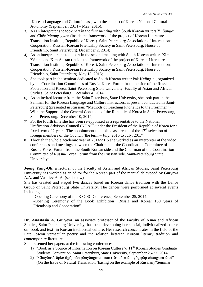'Korean Language and Culture' class, with the support of Korean National Cultural Autonomy (September, 2014 – May, 2015);

- 3) As an interpreter she took part in the first meeting with South Korean writers Yi Sŭng-u and Chŏn Myong-gwan (inside the framework of the project of Korean Literature Translation Institute, Republic of Korea). Saint Petersburg Association of International Cooperation, Russian-Korean Friendship Society in Saint Petersburg. House of Friendship, Saint Petersburg. December 2, 2014;
- 4) As an interpreter she took part in the second meeting with South Korean writers Kim Yŏn-su and Kim Ae-ran (inside the framework of the project of Korean Literature Translation Institute, Republic of Korea). Saint Petersburg Association of International Cooperation, Russian-Korean Friendship Society in Saint Petersburg. House of Friendship, Saint Petersburg. May 18, 2015;
- 5) She took part in the seminar dedicated to South Korean writer Pak Kyŏng-ni, organized by the Coordination Committees of Russia-Korea Forum from the side of the Russian Federation and Korea. Saint-Petersburg State University, Faculty of Asian and African Studies, Saint Petersburg. December 4, 2014;
- 6) As an invited lecturer from the Saint Petersburg State University, she took part in the Seminar for the Korean Language and Culture Instructors, at present conducted in Saint-Petersburg (presented in Russian: "Methods of Teaching Phonetics to the Freshmen"). With the Support of the General Consulate of the Republic of Korea in Saint Petersburg, Saint Petersburg. December 10, 2014;
- 7) For the fourth time she has been re-appointed as a reprsentative to the National Unification Advisory Council (NUAC) under the President of the Republic of Korea for a fixed term of 2 years. The appointment took place as a result of the  $17<sup>th</sup>$  selection of foreign members of the Council (the term – July, 2015 to July, 2017);
- 8) Through the whole academic year of 2014/2015 she worked as an interpreter at the video conferences and meetings between the Chairman of the Coordination Committee of Russia-Korea Forum from the South Korean side and the Chairman of the Coordination Committee of Russia-Korea Forum from the Russian side. Saint-Petersburg State University;

**Jeong Yang-Ok**, a lecturer of the Faculty of Asian and African Studies, Saint Petersburg University has worked as an editor for the Korean part of the manual delevoped by Guryeva A.A. and Vasiliev A. A. (see below)

She has created and staged two dances based on Korean dance tradition with the Dance Group of Saint Petersburg State University. The dances were performed at several events including:

-Opening Ceremony of the KSGSC Conference, September 25, 2014.

-Opening Ceremony of the Book Exhibition "Russia and Korea: 150 years of Friendship and Cooperation".

**Dr. Anastasia A. Guryeva**, an associate professor of the Faculty of Asian and African Studies, Saint Petersburg University, has been developing her special, individualized course on 'book and text' in Korean intellectual culture. Her research concentrates in the field of the Late Joseon vernacular poetry and the relation between Korean literary tradition and contemporary literature.

She presented her papers at the following conferences:

- 1) "Book as a Source of Information on Korean Culture"//  $11<sup>th</sup>$  Korean Studies Graduate Students Convention. Saint Petersburg State University, September 25-27, 2014;
- 2) "Chayŏnsŭrŏpke ilgŏjinŭn pŏnyŏngmun-iran (rŏsiaŏ-roŭi pyŏgipŏp chungsim-ŭro)" (On the Issue of Natural Translation (basing on the example of Russian)//Seminar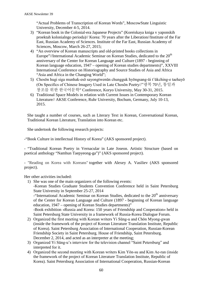"Actual Problems of Transcription of Korean Words", MoscowState Linguistic University, December 4-5, 2014.

- 3) "Korean book in the Colonial-era Japanese Projects" (Koreiskaya kniga v yaponskih proektah kolonialngo perioda)// Korea: 70 years after the Liberation//Institute of the Far East, Russian Academy of Sciences. Institute of the Far East, Russian Academy of Sciences, Moscow, March 26-27, 2015;
- 4) "An overview of Korean manuscripts and old-printed books collections in Europe"//International Academic Seminar on Korean Studies, dedicated to the  $20<sup>th</sup>$ anniversary of the Center for Korean Language and Culture (1897 - beginning of Korean language education, 1947 – opening of Korean studies departments)", XXVIII International Conference on Historiography and Source Studies of Asia and Africa "Asia and Africa in the Changing World";
- 5) Chosŏn hugi siga munhak-esŏ sayongtwenŭn chungguk hyŏngsang-ŭi t'ŭkching-e taehayŏ (On Specifics of Chinese Imagery Used in Late Chosŏn Poetry//"광복 70년, 통일과 창조를 위한 한국어문학" Conference, Koryo University, May 30-31, 2015.
- 6) Traditional Space Models in relation with Current Issues in Contemporary Korean Literature// AKSE Conference, Ruhr University, Bochum, Germany, July 10-13, 2015.

She taught a number of courses, such as Literary Text in Korean, Conversational Korean, Traditional Korean Literature, Translation into Korean etc.

She undertook the following research projects:

-"Book Culture in intellectual History of Korea" (AKS sponsored project).

- "Traditional Korean Poetry in Vernacular in Late Joseon. Artistic Structure (based on poetical anthology "Namhun Taepyeong-ga")" (AKS sponsored project).

- "Reading on Korea with Koreans" together with Alexey A. Vasiliev (AKS sponsored project).

Her other activities included:

1) She was one of the main organizers of the following events: -Korean Studies Graduate Students Convention Conference held in Saint Petersburg State University in September 25-27, 2014  $-$ "International Academic Seminar on Korean Studies, dedicated to the  $20<sup>th</sup>$  anniversary

of the Center for Korean Language and Culture (1897 - beginning of Korean language education, 1947 – opening of Korean Studies departments)"

-Book exhibition «Russia and Korea: 150 years of Friendship and Cooperation» held in Saint Petersburg State University in a framework of Russia-Korea Dialogue Forum.

- 2) Organized the first meeting with Korean writers Yi Sŭng-u and Chŏn Myong-gwan (inside the framework of the project of Korean Literature Translation Institute, Republic of Korea). Saint Petersburg Association of International Cooperation, Russian-Korean Friendship Society in Saint Petersburg. House of Friendship, Saint Petersburg. December 2, 2014, and acted as an interpreter at the meeting;
- 3) Organized Yi Sŭng-u's interview for the television channel "Saint Petersburg" and interpreted for it.
- 4) Organized the second meeting with Korean writers Kim Yŏn-su and Kim Ae-ran (inside the framework of the project of Korean Literature Translation Institute, Republic of Korea). Saint Petersburg Association of International Cooperation, Russian-Korean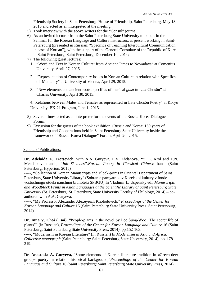Friendship Society in Saint Petersburg. House of Friendship, Saint Petersburg. May 18, 2015 and acted as an interpreted at the meeting.

- 5) Took interview with the above writers for the "Consul" journal.
- 6) As an invited lecturer from the Saint Petersburg State University took part in the Seminar for the Korean Language and Culture Instructors, at present working in Saint-Petersburg (presented in Russian: "Specifics of Teaching Intercultural Communication in case of Korean"), with the support of the General Consulate of the Republic of Korea in Saint Petersburg, Saint Petersburg. December 10, 2014;
- 7) The following guest lectures:
	- 1. "Word and Text in Korean Culture: from Ancient Times to Nowadays" at Comenius University, April 27, 2015.
	- 2. "Representation of Contemporary Issues in Korean Culture in relation with Specifics of Mentality" at University of Vienna, April 29, 2015.
	- 3. "New elements and ancient roots: specifics of musical *gasa* in Late Chosŏn" at Charles University, April 30, 2015.

4."Relations between Males and Females as represented in Late Chosŏn Poetry" at Koryo University, BK-21 Program, June 1, 2015.

- 8) Several times acted as an interpreter for the events of the Russia-Korea Dialogue Forum.
- 9) Excursion for the guests of the book exhibition «Russia and Korea: 150 years of Friendship and Cooperation» held in Saint Petersburg State University inside the framework of "Russia-Korea Dialogue" Forum. April 20, 2015.

### Scholars' Publications:

**Dr. Adelaida F. Trotsevich**, with A.A. Guryeva, L.V. Zhdanova, Yu. L. Krol and L.N. Menshikov, transl., *"Ink Sketches".Korean Poetry in Classical Chinese* hansi (Saint Petersburg, Hyperion. 2015)

-----, "Collection of Korean Manuscripts and Block-prints in Oriental Department of Saint Petersburg State University Library" (Sobranie pamyatnikov Koreiskoi kultury v fonde vostochnogo otdela nauchnoi biblioteki SPBGU) In Vladimir L. Uspensky ed., *Manuscripts and Woodblock Prints in Asian Languages at the Scientific Library of Saint Petersburg State University* (St. Petersburg; St. Petersburg State University Faculty of Philology, 2014) – coauthored with A.A. Guryeva.

-----, "My Professor Alexander Alexeyeich Kholodovich," *Proceedings of the Center for Korean Language and Culture* 16 (Saint Petersburg State University Press. Saint Petersburg, 2014).

**Dr. Inna V. Choi (Tsoi),** "People-plants in the novel by Lee Sŭng-Woo "The secret life of plants"" (in Russian), *Proceedings of the Center for Korean Language and Culture* 16 (Saint Petersburg: Saint Petersburg State University Press, 2014), pp.152-163.

-----, "Modernism in Korean Literature" (in Russian) In *Modernism in Asia and Africa. Collective monograph* (Saint Petersburg: Saint-Petersburg State University, 2014), pp. 178- 219.

**Dr. Anastasia A. Guryeva,** "Some elements of Korean literature tradition in «Green-deer group» poetry in relation historical background,"*Proceedings of the Center for Korean Language and Culture* 16 (Saint Petersburg: Saint Petersburg State University Press, 2014).